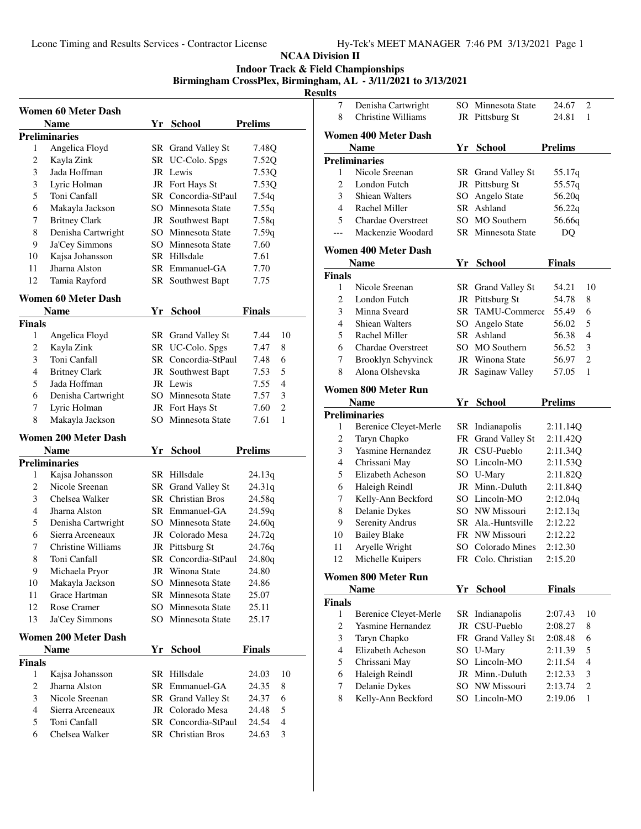**Indoor Track & Field Championships**

# **Birmingham CrossPlex, Birmingham, AL - 3/11/2021 to 3/13/2021**

<u>esul</u>

|                         | Women 60 Meter Dash         |    |                                        |                         |
|-------------------------|-----------------------------|----|----------------------------------------|-------------------------|
|                         | <b>Name</b>                 |    | Yr School                              | <b>Prelims</b>          |
|                         | Preliminaries               |    |                                        |                         |
| 1                       | Angelica Floyd              |    | SR Grand Valley St                     | 7.48Q                   |
| $\overline{c}$          | Kayla Zink                  |    | SR UC-Colo. Spgs                       | 7.52Q                   |
| 3                       | Jada Hoffman                |    | JR Lewis                               | 7.53Q                   |
| 3                       | Lyric Holman                |    | JR Fort Hays St                        | 7.53Q                   |
| 5                       | Toni Canfall                |    | SR Concordia-StPaul                    | 7.54q                   |
| 6                       | Makayla Jackson             |    | SO Minnesota State                     | 7.55q                   |
| 7                       | <b>Britney Clark</b>        |    | JR Southwest Bapt                      | 7.58q                   |
| 8                       | Denisha Cartwright          |    | SO Minnesota State                     | 7.59q                   |
| 9                       | Ja'Cey Simmons              |    | SO Minnesota State                     | 7.60                    |
| 10                      | Kajsa Johansson             |    | SR Hillsdale                           | 7.61                    |
| 11                      | Jharna Alston               |    | SR Emmanuel-GA                         | 7.70                    |
| 12                      | Tamia Rayford               |    | SR Southwest Bapt                      | 7.75                    |
|                         | Women 60 Meter Dash         |    |                                        |                         |
|                         | Name                        |    | Yr School                              | Finals                  |
| Finals                  |                             |    |                                        |                         |
| 1                       | Angelica Floyd              |    | SR Grand Valley St                     | 10<br>7.44              |
| 2                       | Kayla Zink                  |    | SR UC-Colo. Spgs                       | 7.47<br>8               |
| 3                       | Toni Canfall                |    | SR Concordia-StPaul                    | 6<br>7.48               |
| $\overline{4}$          | <b>Britney Clark</b>        | JR | Southwest Bapt                         | 5<br>7.53               |
| 5                       | Jada Hoffman                |    | JR Lewis                               | $\overline{4}$<br>7.55  |
| 6                       | Denisha Cartwright          |    | SO Minnesota State                     | 3<br>7.57               |
| 7                       | Lyric Holman                |    | JR Fort Hays St                        | 2<br>7.60               |
| 8                       | Makayla Jackson             |    | SO Minnesota State                     | 1<br>7.61               |
|                         | <b>Women 200 Meter Dash</b> |    |                                        |                         |
|                         | <b>Name</b>                 |    | Yr School                              | <b>Prelims</b>          |
|                         | Preliminaries               |    |                                        |                         |
| 1                       | Kajsa Johansson             |    | SR Hillsdale                           | 24.13q                  |
| 2                       | Nicole Sreenan              | SR | Grand Valley St                        | 24.31q                  |
| 3                       | Chelsea Walker              |    | <b>SR</b> Christian Bros               | 24.58q                  |
| $\overline{4}$          | Jharna Alston               |    | SR Emmanuel-GA                         | 24.59q                  |
| 5                       | Denisha Cartwright          |    | SO Minnesota State                     | 24.60q                  |
| 6                       | Sierra Arceneaux            |    | JR Colorado Mesa                       | 24.72q                  |
| 7                       | Christine Williams          |    | JR Pittsburg St                        | 24.76g                  |
| $\,$ 8 $\,$             | Toni Canfall                |    | SR Concordia-StPaul                    | 24.80q                  |
| 9                       | Michaela Pryor              |    | JR Winona State                        | 24.80                   |
| 10                      | Makayla Jackson             |    | SO Minnesota State                     | 24.86                   |
| 11                      | Grace Hartman               |    | SR Minnesota State                     | 25.07                   |
| 12                      | Rose Cramer                 |    | SO Minnesota State                     | 25.11                   |
| 13                      | Ja'Cey Simmons              |    | SO Minnesota State                     | 25.17                   |
|                         | <b>Women 200 Meter Dash</b> |    |                                        |                         |
|                         | Name                        | Yr | <b>School</b>                          | Finals                  |
|                         |                             |    |                                        |                         |
|                         |                             |    | SR Hillsdale                           | 10<br>24.03             |
| 1                       | Kajsa Johansson             |    |                                        |                         |
| $\overline{c}$          | Jharna Alston               |    | SR Emmanuel-GA                         | 24.35<br>8              |
| Finals<br>3             | Nicole Sreenan              |    |                                        | 6<br>24.37              |
| $\overline{\mathbf{4}}$ | Sierra Arceneaux            |    | SR Grand Valley St<br>JR Colorado Mesa | 5<br>24.48              |
| 5                       | Toni Canfall                |    | SR Concordia-StPaul                    | $\overline{4}$<br>24.54 |

| ults               |                                            |    |                            |                    |                |
|--------------------|--------------------------------------------|----|----------------------------|--------------------|----------------|
| 7                  | Denisha Cartwright                         |    | SO Minnesota State         | 24.67              | 2              |
| 8                  | Christine Williams                         |    | JR Pittsburg St            | 24.81              | 1              |
|                    | <b>Women 400 Meter Dash</b>                |    |                            |                    |                |
|                    | <b>Name</b>                                |    | Yr School                  | <b>Prelims</b>     |                |
|                    | <b>Preliminaries</b>                       |    |                            |                    |                |
| 1                  | Nicole Sreenan                             |    | SR Grand Valley St         | 55.17q             |                |
| 2                  | London Futch                               |    | JR Pittsburg St            | 55.57q             |                |
| 3                  | <b>Shiean Walters</b>                      |    | SO Angelo State            | 56.20q             |                |
| $\overline{4}$     | Rachel Miller                              |    | SR Ashland                 | 56.22q             |                |
| 5                  | Chardae Overstreet                         |    | SO MO Southern             | 56.66q             |                |
| ---                | Mackenzie Woodard                          |    | SR Minnesota State         | DQ                 |                |
|                    | <b>Women 400 Meter Dash</b>                |    |                            |                    |                |
|                    | <b>Name</b>                                |    | Yr School                  | Finals             |                |
| Finals             |                                            |    |                            |                    |                |
| 1                  | Nicole Sreenan                             |    | SR Grand Valley St         | 54.21              | 10             |
| 2                  | London Futch                               |    | JR Pittsburg St            | 54.78              | 8              |
| 3                  | Minna Sveard                               | SR | TAMU-Commerce              | 55.49              | 6              |
| 4                  | <b>Shiean Walters</b>                      |    | SO Angelo State            | 56.02              | 5              |
| 5                  | Rachel Miller                              |    | SR Ashland                 | 56.38              | 4              |
| 6                  | <b>Chardae Overstreet</b>                  |    | SO MO Southern             | 56.52              | 3              |
| 7                  | <b>Brooklyn Schyvinck</b>                  |    | JR Winona State            | 56.97              | $\overline{c}$ |
| 8                  | Alona Olshevska                            |    | JR Saginaw Valley          | 57.05              | 1              |
|                    |                                            |    |                            |                    |                |
|                    | Women 800 Meter Run                        |    |                            | <b>Prelims</b>     |                |
|                    | <b>Name</b><br><b>Preliminaries</b>        |    | Yr School                  |                    |                |
| 1                  | Berenice Cleyet-Merle                      |    | SR Indianapolis            | 2:11.14Q           |                |
| 2                  | Taryn Chapko                               | FR | <b>Grand Valley St</b>     | 2:11.42Q           |                |
| 3                  | Yasmine Hernandez                          |    | JR CSU-Pueblo              | 2:11.34Q           |                |
| 4                  | Chrissani May                              |    | SO Lincoln-MO              | 2:11.53Q           |                |
| 5                  | Elizabeth Acheson                          |    | SO U-Mary                  | 2:11.82Q           |                |
| 6                  | Haleigh Reindl                             |    | JR Minn.-Duluth            | 2:11.84Q           |                |
| 7                  | Kelly-Ann Beckford                         |    | SO Lincoln-MO              | 2:12.04q           |                |
| 8                  | Delanie Dykes                              |    | SO NW Missouri             | 2:12.13q           |                |
| 9                  | Serenity Andrus                            |    | SR Ala.-Huntsville         | 2:12.22            |                |
| 10                 | <b>Bailey Blake</b>                        |    | FR NW Missouri             | 2:12.22            |                |
| 11                 | Aryelle Wright                             |    | SO Colorado Mines          | 2:12.30            |                |
| 12                 | Michelle Kuipers                           |    | FR Colo. Christian         | 2:15.20            |                |
|                    |                                            |    |                            |                    |                |
|                    | Women 800 Meter Run                        |    |                            |                    |                |
|                    | <b>Name</b>                                | Yr | <b>School</b>              | <b>Finals</b>      |                |
| <b>Finals</b><br>1 |                                            | SR | Indianapolis               |                    | 10             |
| $\overline{c}$     | Berenice Cleyet-Merle<br>Yasmine Hernandez |    | JR CSU-Pueblo              | 2:07.43<br>2:08.27 |                |
| 3                  |                                            |    |                            |                    | 8              |
| 4                  | Taryn Chapko<br>Elizabeth Acheson          | FR | <b>Grand Valley St</b>     | 2:08.48            | 6<br>5         |
| 5                  |                                            |    | SO U-Mary<br>SO Lincoln-MO | 2:11.39<br>2:11.54 | 4              |
| 6                  | Chrissani May<br>Haleigh Reindl            |    | JR Minn.-Duluth            | 2:12.33            | 3              |
| 7                  | Delanie Dykes                              |    | SO NW Missouri             | 2:13.74            | $\overline{c}$ |
| 8                  | Kelly-Ann Beckford                         |    | SO Lincoln-MO              | 2:19.06            | 1              |
|                    |                                            |    |                            |                    |                |
|                    |                                            |    |                            |                    |                |
|                    |                                            |    |                            |                    |                |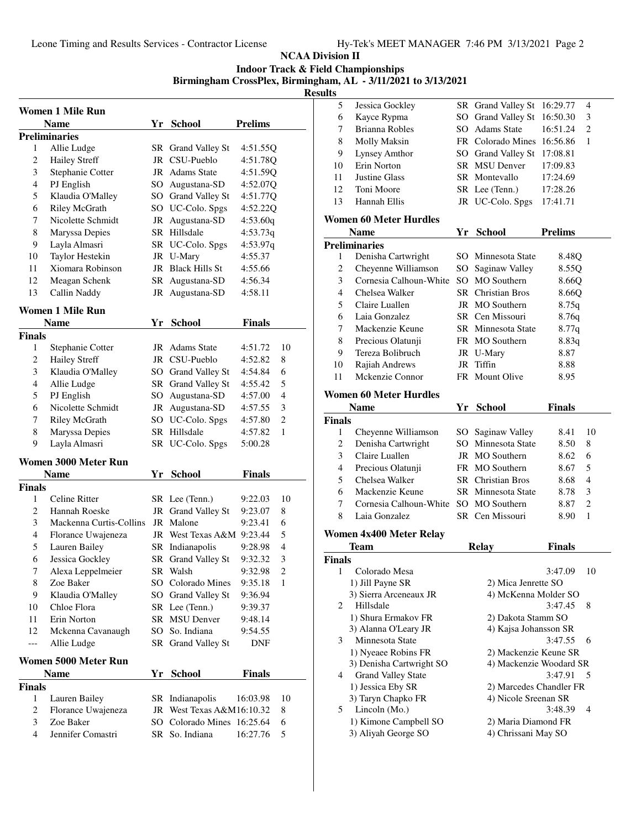**Indoor Track & Field Championships**

**Birmingham CrossPlex, Birmingham, AL - 3/11/2021 to 3/13/2021**

|                | Women 1 Mile Run        |    |                            |                |                |
|----------------|-------------------------|----|----------------------------|----------------|----------------|
|                | <b>Name</b>             | Yr | <b>School</b>              | <b>Prelims</b> |                |
|                | <b>Preliminaries</b>    |    |                            |                |                |
| 1              | Allie Ludge             |    | SR Grand Valley St         | 4:51.55Q       |                |
| $\overline{c}$ | <b>Hailey Streff</b>    |    | JR CSU-Pueblo              | 4:51.78Q       |                |
| 3              | Stephanie Cotter        |    | JR Adams State             | 4:51.59Q       |                |
| 4              | PJ English              |    | SO Augustana-SD            | 4:52.07Q       |                |
| 5              | Klaudia O'Malley        |    | SO Grand Valley St         | 4:51.77Q       |                |
| 6              | Riley McGrath           |    | SO UC-Colo. Spgs           | 4:52.22Q       |                |
| 7              | Nicolette Schmidt       | JR | Augustana-SD               | 4:53.60q       |                |
| 8              | Maryssa Depies          | SR | Hillsdale                  | 4:53.73q       |                |
| 9              | Layla Almasri           |    | SR UC-Colo. Spgs           | 4:53.97q       |                |
| 10             | Taylor Hestekin         |    | JR U-Mary                  | 4:55.37        |                |
| 11             | Xiomara Robinson        | JR | <b>Black Hills St</b>      | 4:55.66        |                |
| 12             | Meagan Schenk           |    | SR Augustana-SD            | 4:56.34        |                |
| 13             | Callin Naddy            |    | JR Augustana-SD            | 4:58.11        |                |
|                | Women 1 Mile Run        |    |                            |                |                |
|                | Name                    |    | Yr School                  | <b>Finals</b>  |                |
| Finals         |                         |    |                            |                |                |
| 1              | Stephanie Cotter        |    | JR Adams State             | 4:51.72        | 10             |
| 2              | <b>Hailey Streff</b>    |    | JR CSU-Pueblo              | 4:52.82        | 8              |
| 3              | Klaudia O'Malley        |    | SO Grand Valley St         | 4:54.84        | 6              |
| $\overline{4}$ | Allie Ludge             |    | SR Grand Valley St         | 4:55.42        | 5              |
| 5              | PJ English              |    | SO Augustana-SD            | 4:57.00        | 4              |
| 6              | Nicolette Schmidt       |    | JR Augustana-SD            | 4:57.55        | 3              |
| 7              | <b>Riley McGrath</b>    |    | SO UC-Colo. Spgs           | 4:57.80        | $\overline{c}$ |
| 8              | Maryssa Depies          |    | SR Hillsdale               | 4:57.82        | 1              |
| 9              | Layla Almasri           |    | SR UC-Colo. Spgs           | 5:00.28        |                |
|                | Women 3000 Meter Run    |    |                            |                |                |
|                | Name                    | Yr | <b>School</b>              | Finals         |                |
| <b>Finals</b>  |                         |    |                            |                |                |
| 1              | Celine Ritter           |    | SR Lee (Tenn.)             | 9:22.03        | 10             |
| 2              | Hannah Roeske           | JR | Grand Valley St            | 9:23.07        | 8              |
| 3              | Mackenna Curtis-Collins | JR | Malone                     | 9:23.41        | 6              |
| 4              | Florance Uwajeneza      |    | JR West Texas A&M 9:23.44  |                | 5              |
| 5              | Lauren Bailey           | SR | Indianapolis               | 9:28.98        | 4              |
| 6              | Jessica Gockley         |    | SR Grand Valley St         | 9:32.32        | 3              |
| 7              | Alexa Leppelmeier       |    | SR Walsh                   | 9:32.98        | $\overline{c}$ |
| 8              | Zoe Baker               |    | SO Colorado Mines          | 9:35.18        | 1              |
| 9              | Klaudia O'Malley        |    | SO Grand Valley St         | 9:36.94        |                |
| 10             | Chloe Flora             |    | SR Lee (Tenn.)             | 9:39.37        |                |
| 11             | Erin Norton             |    | SR MSU Denver              | 9:48.14        |                |
| 12             | Mckenna Cavanaugh       |    | SO So. Indiana             | 9:54.55        |                |
| ---            | Allie Ludge             |    | SR Grand Valley St         | <b>DNF</b>     |                |
|                | Women 5000 Meter Run    |    |                            |                |                |
|                | Name                    |    | Yr School                  | <b>Finals</b>  |                |
| <b>Finals</b>  |                         |    |                            |                |                |
| 1              | Lauren Bailey           |    | SR Indianapolis            | 16:03.98       | 10             |
| 2              | Florance Uwajeneza      |    | JR West Texas A&M16:10.32  |                | 8              |
| 3              | Zoe Baker               |    | SO Colorado Mines 16:25.64 |                | 6              |
| 4              | Jennifer Comastri       |    | SR So. Indiana             | 16:27.76       | 5              |

| unus           |                                              |    |                                            |               |                |
|----------------|----------------------------------------------|----|--------------------------------------------|---------------|----------------|
| 5              | Jessica Gockley                              |    | SR Grand Valley St                         | 16:29.77      | 4              |
| 6              | Kayce Rypma                                  |    | SO Grand Valley St                         | 16:50.30      | 3              |
| 7              | <b>Brianna Robles</b>                        |    | SO Adams State                             | 16:51.24      | $\overline{2}$ |
| 8              | Molly Maksin                                 |    | FR Colorado Mines                          | 16:56.86      | 1              |
| 9              | Lynsey Amthor                                |    | SO Grand Valley St                         | 17:08.81      |                |
| 10             | Erin Norton                                  |    | SR MSU Denver                              | 17:09.83      |                |
| 11             | Justine Glass                                |    | SR Montevallo                              | 17:24.69      |                |
| 12             | Toni Moore                                   |    | SR Lee (Tenn.)                             | 17:28.26      |                |
| 13             | Hannah Ellis                                 |    | JR UC-Colo. Spgs                           | 17:41.71      |                |
|                |                                              |    |                                            |               |                |
|                | <b>Women 60 Meter Hurdles</b>                |    |                                            |               |                |
|                | <b>Name</b>                                  |    | Yr School                                  | Prelims       |                |
|                | <b>Preliminaries</b>                         |    |                                            |               |                |
| 1              | Denisha Cartwright                           |    | SO Minnesota State                         | 8.48Q         |                |
| 2              | Cheyenne Williamson                          |    | SO Saginaw Valley                          | 8.55Q         |                |
| 3              | Cornesia Calhoun-White                       |    | SO MO Southern                             | 8.66Q         |                |
| $\overline{4}$ | Chelsea Walker                               |    | <b>SR</b> Christian Bros                   | 8.66Q         |                |
| 5              | Claire Luallen                               |    | JR MO Southern                             | 8.75q         |                |
| 6              | Laia Gonzalez                                |    | SR Cen Missouri                            | 8.76q         |                |
| 7              | Mackenzie Keune                              |    | SR Minnesota State                         | 8.77q         |                |
| 8              | Precious Olatunji                            |    | FR MO Southern                             | 8.83q         |                |
| 9              | Tereza Bolibruch                             |    | JR U-Mary                                  | 8.87          |                |
| 10             | Rajiah Andrews                               | JR | Tiffin                                     | 8.88          |                |
| 11             | Mckenzie Connor                              |    | FR Mount Olive                             | 8.95          |                |
|                |                                              |    |                                            |               |                |
|                | <b>Women 60 Meter Hurdles</b>                |    |                                            |               |                |
|                | <b>Name</b>                                  |    | Yr School                                  | <b>Finals</b> |                |
| <b>Finals</b>  |                                              |    |                                            |               |                |
| 1              | Cheyenne Williamson                          |    | SO Saginaw Valley                          | 8.41          | 10             |
| 2              | Denisha Cartwright                           |    | SO Minnesota State                         | 8.50          | 8              |
| 3              | Claire Luallen                               |    | JR MO Southern                             | 8.62          | 6              |
| $\overline{4}$ | Precious Olatunji                            |    | FR MO Southern                             | 8.67          | 5              |
| 5              | Chelsea Walker                               |    | <b>SR</b> Christian Bros                   | 8.68          | 4              |
| 6              | Mackenzie Keune                              |    | SR Minnesota State                         | 8.78          | 3              |
| 7              | Cornesia Calhoun-White                       |    | SO MO Southern                             | 8.87          | 2              |
| 8              | Laia Gonzalez                                |    | SR Cen Missouri                            | 8.90          | 1              |
|                | <b>Women 4x400 Meter Relay</b>               |    |                                            |               |                |
|                | Team                                         |    | <b>Relay</b>                               | <b>Finals</b> |                |
|                |                                              |    |                                            |               |                |
| Finals<br>1    |                                              |    |                                            |               |                |
|                |                                              |    |                                            |               |                |
|                | Colorado Mesa                                |    |                                            | 3:47.09       | 10             |
|                | 1) Jill Payne SR                             |    | 2) Mica Jenrette SO                        |               |                |
|                | 3) Sierra Arceneaux JR                       |    | 4) McKenna Molder SO                       |               |                |
| 2              | Hillsdale                                    |    |                                            | 3:47.45       | 8              |
|                | 1) Shura Ermakov FR                          |    | 2) Dakota Stamm SO                         |               |                |
|                | 3) Alanna O'Leary JR                         |    | 4) Kajsa Johansson SR                      |               |                |
| 3              | Minnesota State                              |    |                                            | 3:47.55       | 6              |
|                | 1) Nyeaee Robins FR                          |    | 2) Mackenzie Keune SR                      |               |                |
|                | 3) Denisha Cartwright SO                     |    | 4) Mackenzie Woodard SR                    |               |                |
| 4              | <b>Grand Valley State</b>                    |    |                                            | 3:47.91       | 5              |
|                | 1) Jessica Eby SR                            |    | 2) Marcedes Chandler FR                    |               |                |
| 5              | 3) Taryn Chapko FR                           |    | 4) Nicole Sreenan SR                       |               | 4              |
|                | Lincoln (Mo.)                                |    |                                            | 3:48.39       |                |
|                | 1) Kimone Campbell SO<br>3) Aliyah George SO |    | 2) Maria Diamond FR<br>4) Chrissani May SO |               |                |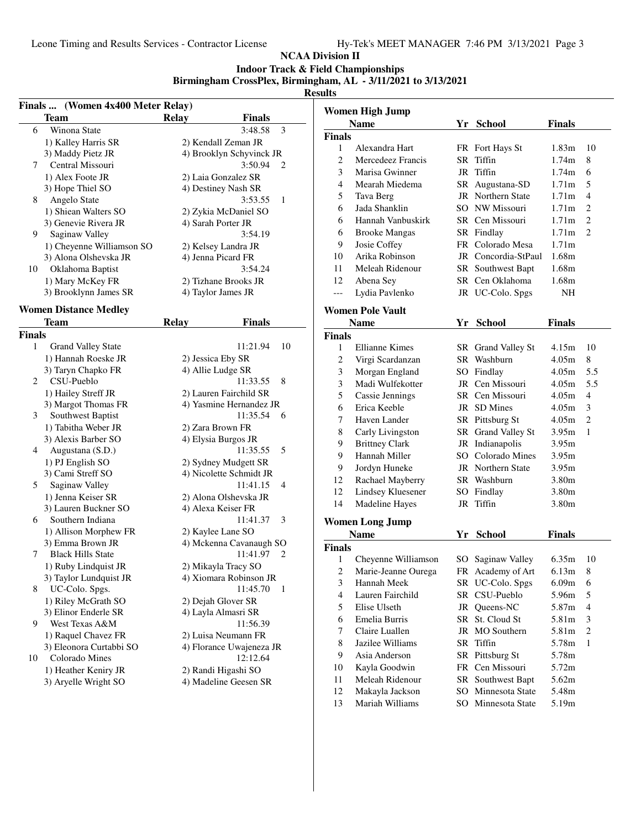#### **NCAA Division II**

**Indoor Track & Field Championships**

**Birmingham CrossPlex, Birmingham, AL - 3/11/2021 to 3/13/2021**

|               | Finals  (Women 4x400 Meter Relay) |                          |               |                |                | <b>Women High Jump</b>  |     |                     |                   |                |
|---------------|-----------------------------------|--------------------------|---------------|----------------|----------------|-------------------------|-----|---------------------|-------------------|----------------|
|               | <b>Team</b>                       | <b>Relay</b>             | <b>Finals</b> |                |                | <b>Name</b>             |     | Yr School           | <b>Finals</b>     |                |
| 6             | Winona State                      |                          | 3:48.58       | 3              | <b>Finals</b>  |                         |     |                     |                   |                |
|               | 1) Kalley Harris SR               | 2) Kendall Zeman JR      |               |                | 1              | Alexandra Hart          |     | FR Fort Hays St     | 1.83 <sub>m</sub> | - 10           |
|               | 3) Maddy Pietz JR                 | 4) Brooklyn Schyvinck JR |               |                | 2              | Mercedeez Francis       |     | SR Tiffin           | 1.74m             | 8              |
| 7             | Central Missouri                  |                          | $3:50.94$ 2   |                | 3              | Marisa Gwinner          |     | JR Tiffin           | 1.74m             | 6              |
|               | 1) Alex Foote JR                  | 2) Laia Gonzalez SR      |               |                | $\overline{4}$ |                         |     |                     |                   |                |
|               | 3) Hope Thiel SO                  | 4) Destiney Nash SR      |               |                |                | Mearah Miedema          |     | SR Augustana-SD     | 1.71m             | 5              |
| 8             | Angelo State                      |                          | 3:53.55       | 1              | 5              | Tava Berg               |     | JR Northern State   | 1.71 <sub>m</sub> | $\overline{4}$ |
|               | 1) Shiean Walters SO              | 2) Zykia McDaniel SO     |               |                | 6              | Jada Shanklin           |     | SO NW Missouri      | 1.71m             | 2              |
|               | 3) Genevie Rivera JR              | 4) Sarah Porter JR       |               |                | 6              | Hannah Vanbuskirk       |     | SR Cen Missouri     | 1.71m             | 2              |
| 9             | Saginaw Valley                    |                          | 3:54.19       |                | 6              | <b>Brooke Mangas</b>    |     | SR Findlay          | 1.71m             | 2              |
|               | 1) Cheyenne Williamson SO         | 2) Kelsey Landra JR      |               |                | 9              | Josie Coffey            |     | FR Colorado Mesa    | 1.71m             |                |
|               | 3) Alona Olshevska JR             | 4) Jenna Picard FR       |               |                | 10             | Arika Robinson          |     | JR Concordia-StPaul | 1.68m             |                |
| 10            | Oklahoma Baptist                  |                          | 3:54.24       |                | 11             | Meleah Ridenour         |     | SR Southwest Bapt   | 1.68m             |                |
|               | 1) Mary McKey FR                  | 2) Tizhane Brooks JR     |               |                | 12             | Abena Sey               |     | SR Cen Oklahoma     | 1.68m             |                |
|               | 3) Brooklynn James SR             | 4) Taylor James JR       |               |                | $---$          | Lydia Pavlenko          |     | JR UC-Colo. Spgs    | <b>NH</b>         |                |
|               |                                   |                          |               |                |                |                         |     |                     |                   |                |
|               | <b>Women Distance Medley</b>      |                          |               |                |                | <b>Women Pole Vault</b> |     |                     |                   |                |
|               | <b>Team</b>                       | <b>Relay</b>             | <b>Finals</b> |                |                | <b>Name</b>             |     | Yr School           | <b>Finals</b>     |                |
| <b>Finals</b> |                                   |                          |               |                | <b>Finals</b>  |                         |     |                     |                   |                |
| 1             | <b>Grand Valley State</b>         |                          | 11:21.94      | 10             | 1              | Ellianne Kimes          |     | SR Grand Valley St  | 4.15m             | - 10           |
|               | 1) Hannah Roeske JR               | 2) Jessica Eby SR        |               |                | 2              | Virgi Scardanzan        |     | SR Washburn         | 4.05m             | 8              |
|               | 3) Taryn Chapko FR                | 4) Allie Ludge SR        |               |                | 3              | Morgan England          |     | SO Findlay          | 4.05m             | 5.5            |
| 2             | CSU-Pueblo                        |                          | 11:33.55      | 8              | 3              | Madi Wulfekotter        |     | JR Cen Missouri     | 4.05m             | 5.5            |
|               | 1) Hailey Streff JR               | 2) Lauren Fairchild SR   |               |                | 5              | Cassie Jennings         |     | SR Cen Missouri     | 4.05m             | $\overline{4}$ |
|               | 3) Margot Thomas FR               | 4) Yasmine Hernandez JR  |               |                | 6              | Erica Keeble            |     | JR SD Mines         | 4.05m             | 3              |
| 3             | Southwest Baptist                 |                          | 11:35.54      | 6              | 7              | Haven Lander            |     | SR Pittsburg St     | 4.05m             | 2              |
|               | 1) Tabitha Weber JR               | 2) Zara Brown FR         |               |                | 8              | Carly Livingston        |     | SR Grand Valley St  | 3.95m             | -1             |
|               | 3) Alexis Barber SO               | 4) Elysia Burgos JR      |               |                | 9              | <b>Brittney Clark</b>   |     | JR Indianapolis     | 3.95m             |                |
| 4             | Augustana (S.D.)                  |                          | 11:35.55      | 5              | 9              | Hannah Miller           | SO. | Colorado Mines      | 3.95m             |                |
|               | 1) PJ English SO                  | 2) Sydney Mudgett SR     |               |                | 9              | Jordyn Huneke           |     | JR Northern State   | 3.95m             |                |
|               | 3) Cami Streff SO                 | 4) Nicolette Schmidt JR  |               |                | 12             | Rachael Mayberry        |     | SR Washburn         | 3.80m             |                |
| 5             | Saginaw Valley                    |                          | 11:41.15      | $\overline{4}$ | 12             |                         |     | SO Findlay          |                   |                |
|               | 1) Jenna Keiser SR                | 2) Alona Olshevska JR    |               |                |                | Lindsey Kluesener       |     |                     | 3.80m             |                |
|               | 3) Lauren Buckner SO              | 4) Alexa Keiser FR       |               |                | 14             | Madeline Hayes          |     | JR Tiffin           | 3.80m             |                |
| 6             | Southern Indiana                  |                          | 11:41.37      | 3              |                | <b>Women Long Jump</b>  |     |                     |                   |                |
|               | 1) Allison Morphew FR             | 2) Kaylee Lane SO        |               |                |                | <b>Name</b>             |     | Yr School           | <b>Finals</b>     |                |
|               | 3) Emma Brown JR                  | 4) Mckenna Cavanaugh SO  |               |                | <b>Finals</b>  |                         |     |                     |                   |                |
| 7             | <b>Black Hills State</b>          |                          | 11:41.97      | 2              | 1              | Cheyenne Williamson     |     | SO Saginaw Valley   | 6.35m             | - 10           |
|               | 1) Ruby Lindquist JR              | 2) Mikayla Tracy SO      |               |                | 2              | Marie-Jeanne Ourega     |     | FR Academy of Art   | $6.13m$ 8         |                |
|               | 3) Taylor Lundquist JR            | 4) Xiomara Robinson JR   |               |                | 3              | Hannah Meek             |     | SR UC-Colo. Spgs    | 6.09 <sub>m</sub> |                |
| 8             | UC-Colo. Spgs.                    |                          | 11:45.70      | - 1            |                |                         |     | SR CSU-Pueblo       | 5.96m             | $6^{\circ}$    |
|               | 1) Riley McGrath SO               | 2) Dejah Glover SR       |               |                | 4              | Lauren Fairchild        |     |                     |                   | 5              |
|               | 3) Elinor Enderle SR              | 4) Layla Almasri SR      |               |                | 5              | Elise Ulseth            |     | JR Queens-NC        | 5.87m             | $\overline{4}$ |
| 9             | West Texas A&M                    |                          | 11:56.39      |                | 6              | Emelia Burris           |     | SR St. Cloud St     | 5.81m             | 3              |
|               | 1) Raquel Chavez FR               | 2) Luisa Neumann FR      |               |                | 7              | Claire Luallen          |     | JR MO Southern      | 5.81m             | 2              |
|               | 3) Eleonora Curtabbi SO           | 4) Florance Uwajeneza JR |               |                | 8              | Jazilee Williams        |     | SR Tiffin           | 5.78m             | -1             |
| 10            | Colorado Mines                    |                          | 12:12.64      |                | 9              | Asia Anderson           |     | SR Pittsburg St     | 5.78m             |                |
|               | 1) Heather Keniry JR              | 2) Randi Higashi SO      |               |                | 10             | Kayla Goodwin           |     | FR Cen Missouri     | 5.72m             |                |
|               | 3) Aryelle Wright SO              | 4) Madeline Geesen SR    |               |                | 11             | Meleah Ridenour         |     | SR Southwest Bapt   | 5.62m             |                |
|               |                                   |                          |               |                | 12             | Makayla Jackson         |     | SO Minnesota State  | 5.48m             |                |
|               |                                   |                          |               |                | 13             | Mariah Williams         |     | SO Minnesota State  | 5.19m             |                |
|               |                                   |                          |               |                |                |                         |     |                     |                   |                |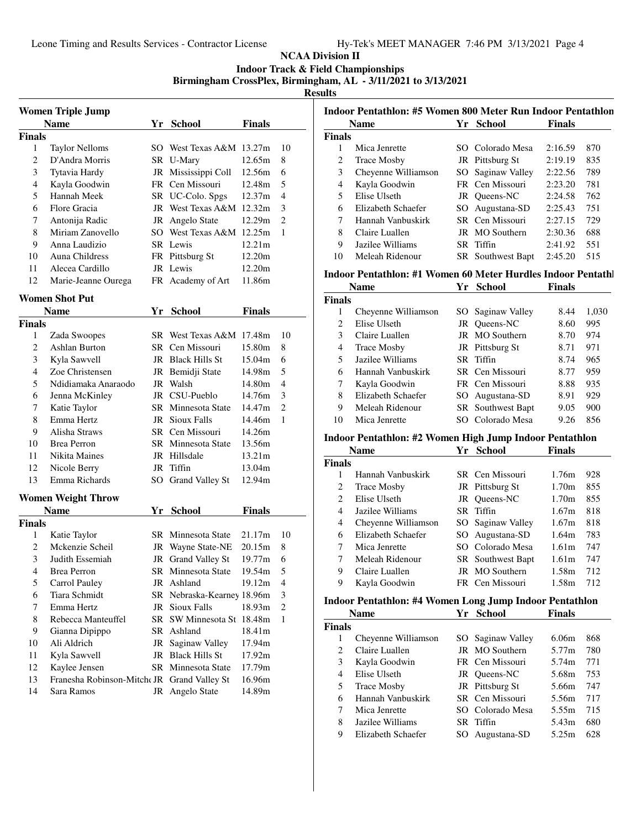**Indoor Track & Field Championships**

**Birmingham CrossPlex, Birmingham, AL - 3/11/2021 to 3/13/2021**

**Results**

|               | <b>Women Triple Jump</b><br>Name            |     | Yr School                  | <b>Finals</b> |                |
|---------------|---------------------------------------------|-----|----------------------------|---------------|----------------|
| <b>Finals</b> |                                             |     |                            |               |                |
| 1             | <b>Taylor Nelloms</b>                       |     | SO West Texas A&M 13.27m   |               | 10             |
| 2             | D'Andra Morris                              |     | SR U-Mary                  | 12.65m        | 8              |
| 3             | Tytavia Hardy                               |     | JR Mississippi Coll        | 12.56m        | 6              |
| 4             | Kayla Goodwin                               |     | FR Cen Missouri            | 12.48m        | 5              |
| 5             | Hannah Meek                                 |     | SR UC-Colo. Spgs           | 12.37m        | 4              |
| 6             | Flore Gracia                                |     | JR West Texas A&M          | 12.32m        | 3              |
| 7             | Antonija Radic                              | JR  | Angelo State               | 12.29m        | 2              |
| 8             | Miriam Zanovello                            | SO. | West Texas A&M             | 12.25m        | 1              |
| 9             | Anna Laudizio                               |     | SR Lewis                   | 12.21m        |                |
| 10            | Auna Childress                              |     | FR Pittsburg St            | 12.20m        |                |
| 11            | Alecea Cardillo                             |     | JR Lewis                   | 12.20m        |                |
| 12            | Marie-Jeanne Ourega                         |     | FR Academy of Art          | 11.86m        |                |
|               | <b>Women Shot Put</b>                       |     |                            |               |                |
|               | <b>Name</b>                                 | Yr  | <b>School</b>              | Finals        |                |
| <b>Finals</b> |                                             |     |                            |               |                |
| 1             | Zada Swoopes                                |     | SR West Texas A&M          | 17.48m        | 10             |
| 2             | Ashlan Burton                               |     | SR Cen Missouri            | 15.80m        | 8              |
| 3             |                                             |     | JR Black Hills St          | 15.04m        | 6              |
| 4             | Kyla Sawvell<br>Zoe Christensen             |     |                            | 14.98m        | 5              |
|               |                                             |     | JR Bemidji State           |               | 4              |
| 5             | Ndidiamaka Anaraodo                         |     | JR Walsh                   | 14.80m        |                |
| 6             | Jenna McKinley                              |     | JR CSU-Pueblo              | 14.76m        | 3              |
| 7             | Katie Taylor                                |     | SR Minnesota State         | 14.47m        | 2              |
| 8             | Emma Hertz                                  |     | <b>JR</b> Sioux Falls      | 14.46m        | 1              |
| 9             | Alisha Straws                               |     | SR Cen Missouri            | 14.26m        |                |
| 10            | <b>Brea Perron</b>                          |     | SR Minnesota State         | 13.56m        |                |
| 11            | Nikita Maines                               |     | JR Hillsdale               | 13.21m        |                |
| 12            | Nicole Berry                                |     | JR Tiffin                  | 13.04m        |                |
| 13            | Emma Richards                               |     | SO Grand Valley St         | 12.94m        |                |
|               | <b>Women Weight Throw</b>                   |     |                            |               |                |
|               | <b>Name</b>                                 |     | Yr School                  | Finals        |                |
| <b>Finals</b> |                                             |     |                            |               |                |
| 1             | Katie Taylor                                | SR  | Minnesota State            | 21.17m        | 10             |
| 2             | Mckenzie Scheil                             | JR  | Wayne State-NE             | 20.15m        | 8              |
| 3             | Judith Essemiah                             | JR  | Grand Valley St            | 19.77m        | 6              |
| 4             | Brea Perron                                 |     | SR Minnesota State         | 19.54m        | 5              |
| 5             | Carrol Pauley                               |     | JR Ashland                 | 19.12m        | 4              |
| 6             | Tiara Schmidt                               |     | SR Nebraska-Kearney 18.96m |               | 3              |
| 7             | Emma Hertz                                  |     | JR Sioux Falls             | 18.93m        | $\overline{c}$ |
| 8             | Rebecca Manteuffel                          | SR  | SW Minnesota St 18.48m     |               | 1              |
| 9             | Gianna Dipippo                              |     | SR Ashland                 | 18.41m        |                |
| 10            | Ali Aldrich                                 | JR  | Saginaw Valley             | 17.94m        |                |
| 11            | Kyla Sawvell                                |     | JR Black Hills St          | 17.92m        |                |
| 12            | Kaylee Jensen                               |     | SR Minnesota State         | 17.79m        |                |
| 13            | Franesha Robinson-Mitche JR Grand Valley St |     |                            | 16.96m        |                |
| 14            | Sara Ramos                                  |     | JR Angelo State            | 14.89m        |                |
|               |                                             |     |                            |               |                |

|               | <b>Name</b>         | Yr School                | <b>Finals</b> |     |
|---------------|---------------------|--------------------------|---------------|-----|
| <b>Finals</b> |                     |                          |               |     |
| 1             | Mica Jenrette       | SO Colorado Mesa         | 2:16.59       | 870 |
| 2             | <b>Trace Mosby</b>  | JR Pittsburg St          | 2:19.19       | 835 |
| 3             | Cheyenne Williamson | SO Saginaw Valley        | 2:22.56       | 789 |
| 4             | Kayla Goodwin       | FR Cen Missouri          | 2:23.20       | 781 |
| 5             | Elise Ulseth        | JR Oueens-NC             | 2:24.58       | 762 |
| 6             | Elizabeth Schaefer  | SO Augustana-SD          | 2:25.43       | 751 |
| 7             | Hannah Vanbuskirk   | SR Cen Missouri          | 2:27.15       | 729 |
| 8             | Claire Luallen      | JR MO Southern           | 2:30.36       | 688 |
| 9             | Jazilee Williams    | SR Tiffin                | 2:41.92       | 551 |
| 10            | Meleah Ridenour     | <b>SR</b> Southwest Bapt | 2:45.20       | 515 |

#### Indoor Pentathlon: #1 Women 60 Meter Hurdles Indoor Pentathl

|                             | <b>Name</b>         | Yг | <b>School</b>            | <b>Finals</b> |       |
|-----------------------------|---------------------|----|--------------------------|---------------|-------|
| <b>Finals</b>               |                     |    |                          |               |       |
| 1                           | Cheyenne Williamson |    | SO Saginaw Valley        | 8.44          | 1,030 |
| $\mathcal{D}_{\mathcal{L}}$ | Elise Ulseth        |    | JR Queens-NC             | 8.60          | 995   |
| 3                           | Claire Luallen      |    | JR MO Southern           | 8.70          | 974   |
| 4                           | <b>Trace Mosby</b>  |    | JR Pittsburg St          | 8.71          | 971   |
| 5                           | Jazilee Williams    |    | SR Tiffin                | 8.74          | 965   |
| 6                           | Hannah Vanbuskirk   |    | SR Cen Missouri          | 8.77          | 959   |
| 7                           | Kayla Goodwin       |    | FR Cen Missouri          | 8.88          | 935   |
| 8                           | Elizabeth Schaefer  |    | SO Augustana-SD          | 8.91          | 929   |
| 9                           | Meleah Ridenour     |    | <b>SR</b> Southwest Bapt | 9.05          | 900   |
| 10                          | Mica Jenrette       |    | Colorado Mesa            | 9.26          | 856   |

#### **Indoor Pentathlon: #2 Women High Jump Indoor Pentathlon**

|               | Name                | Yг  | School                   | <b>Finals</b> |     |
|---------------|---------------------|-----|--------------------------|---------------|-----|
| <b>Finals</b> |                     |     |                          |               |     |
|               | Hannah Vanbuskirk   |     | SR Cen Missouri          | 1.76m         | 928 |
| 2             | <b>Trace Mosby</b>  |     | JR Pittsburg St          | 1.70m         | 855 |
| 2             | Elise Ulseth        |     | JR Oueens-NC             | 1.70m         | 855 |
| 4             | Jazilee Williams    |     | SR Tiffin                | 1.67m         | 818 |
| 4             | Cheyenne Williamson |     | SO Saginaw Valley        | 1.67m         | 818 |
| 6             | Elizabeth Schaefer  | SO. | Augustana-SD             | 1.64m         | 783 |
| 7             | Mica Jenrette       | SO. | Colorado Mesa            | 1.61m         | 747 |
| 7             | Meleah Ridenour     |     | <b>SR</b> Southwest Bapt | 1.61m         | 747 |
| 9             | Claire Luallen      |     | <b>JR</b> MO Southern    | 1.58m         | 712 |
| 9             | Kayla Goodwin       |     | FR Cen Missouri          | 1.58m         | 712 |

# **Indoor Pentathlon: #4 Women Long Jump Indoor Pentathlon**

|                             | <b>Name</b>         | Yг | <b>School</b>         | Finals |     |
|-----------------------------|---------------------|----|-----------------------|--------|-----|
| <b>Finals</b>               |                     |    |                       |        |     |
|                             | Cheyenne Williamson |    | SO Saginaw Valley     | 6.06m  | 868 |
| $\mathcal{D}_{\mathcal{A}}$ | Claire Luallen      |    | <b>JR</b> MO Southern | 5.77m  | 780 |
| 3                           | Kayla Goodwin       |    | FR Cen Missouri       | 5.74m  | 771 |
| 4                           | Elise Ulseth        |    | JR Oueens-NC          | 5.68m  | 753 |
| 5                           | <b>Trace Mosby</b>  |    | JR Pittsburg St       | 5.66m  | 747 |
| 6                           | Hannah Vanbuskirk   |    | SR Cen Missouri       | 5.56m  | 717 |
| 7                           | Mica Jenrette       |    | SO Colorado Mesa      | 5.55m  | 715 |
| 8                           | Jazilee Williams    |    | SR Tiffin             | 5.43m  | 680 |
| 9                           | Elizabeth Schaefer  |    | Augustana-SD          | 5.25m  | 628 |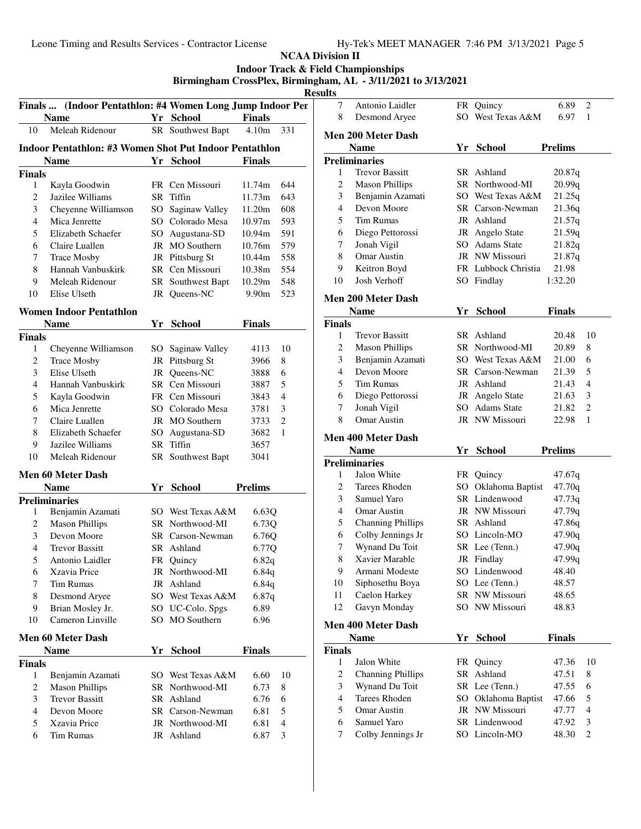|                         |                                                           |                   |                |                          | <b>Results</b>   | <b>Indoor Track &amp; Field Championships</b><br>Birmingham CrossPlex, Birmingham, AL - 3/11/2021 to 3/13/2021 |                 |
|-------------------------|-----------------------------------------------------------|-------------------|----------------|--------------------------|------------------|----------------------------------------------------------------------------------------------------------------|-----------------|
|                         | Finals  (Indoor Pentathlon: #4 Women Long Jump Indoor Per |                   |                |                          | 7                | Antonio Laidler                                                                                                | <b>FR</b>       |
|                         | <b>Name</b>                                               | Yr School         | <b>Finals</b>  |                          | 8                | Desmond Aryee                                                                                                  | SO.             |
| 10                      | Meleah Ridenour                                           | SR Southwest Bapt | 4.10m          | 331                      |                  | <b>Men 200 Meter Dash</b>                                                                                      |                 |
|                         | Indoor Pentathlon: #3 Women Shot Put Indoor Pentathlon    |                   |                |                          |                  | <b>Name</b>                                                                                                    | Yr              |
|                         |                                                           |                   |                |                          |                  | <b>Preliminaries</b>                                                                                           |                 |
| <b>Finals</b>           | <b>Name</b>                                               | Yr School         | Finals         |                          | 1                | <b>Trevor Bassitt</b>                                                                                          | <b>SR</b>       |
| $\mathbf{1}$            | Kayla Goodwin                                             | FR Cen Missouri   | 11.74m         | 644                      | $\mathbf{2}$     | <b>Mason Phillips</b>                                                                                          | <b>SR</b>       |
| $\overline{2}$          | Jazilee Williams                                          | SR Tiffin         | 11.73m         | 643                      | 3                | Benjamin Azamati                                                                                               | SO <sub>1</sub> |
| 3                       | Cheyenne Williamson                                       | SO Saginaw Valley | 11.20m         | 608                      | 4                | Devon Moore                                                                                                    | <b>SR</b>       |
| $\overline{4}$          | Mica Jenrette                                             | SO Colorado Mesa  | 10.97m         | 593                      | 5                | <b>Tim Rumas</b>                                                                                               | JR              |
| 5                       | Elizabeth Schaefer                                        | SO Augustana-SD   | 10.94m         | 591                      | 6                | Diego Pettorossi                                                                                               | JR              |
| 6                       |                                                           | JR MO Southern    | 10.76m         | 579                      | 7                | Jonah Vigil                                                                                                    | SO              |
| 7                       | Claire Luallen<br><b>Trace Mosby</b>                      | JR Pittsburg St   | 10.44m         | 558                      | 8                | Omar Austin                                                                                                    | JR              |
| 8                       | Hannah Vanbuskirk                                         | SR Cen Missouri   | 10.38m         | 554                      | 9                | Keitron Boyd                                                                                                   | <b>FR</b>       |
| 9                       |                                                           |                   |                |                          | 10               | Josh Verhoff                                                                                                   | SO.             |
|                         | Meleah Ridenour                                           | SR Southwest Bapt | 10.29m         | 548                      |                  |                                                                                                                |                 |
| 10                      | Elise Ulseth                                              | JR Queens-NC      | 9.90m          | 523                      |                  | <b>Men 200 Meter Dash</b>                                                                                      |                 |
|                         | <b>Women Indoor Pentathlon</b>                            |                   |                |                          |                  | <b>Name</b>                                                                                                    | Yr              |
|                         | <b>Name</b>                                               | Yr School         | Finals         |                          | <b>Finals</b>    |                                                                                                                |                 |
| <b>Finals</b>           |                                                           |                   |                |                          | $\mathbf{1}$     | <b>Trevor Bassitt</b>                                                                                          | <b>SR</b>       |
| $\mathbf{1}$            | Cheyenne Williamson                                       | SO Saginaw Valley | 4113           | 10                       | $\mathbf{2}$     | <b>Mason Phillips</b>                                                                                          | <b>SR</b>       |
| $\mathbf{2}$            | <b>Trace Mosby</b>                                        | JR Pittsburg St   | 3966           | 8                        | 3                | Benjamin Azamati                                                                                               | SO <sub>1</sub> |
| 3                       | Elise Ulseth                                              | JR Queens-NC      | 3888           | 6                        | 4                | Devon Moore                                                                                                    | <b>SR</b>       |
| $\overline{4}$          | Hannah Vanbuskirk                                         | SR Cen Missouri   | 3887           | 5                        | 5                | <b>Tim Rumas</b>                                                                                               | JR              |
| 5                       | Kayla Goodwin                                             | FR Cen Missouri   | 3843           | 4                        | 6                | Diego Pettorossi                                                                                               | JR              |
| 6                       | Mica Jenrette                                             | SO Colorado Mesa  | 3781           | 3                        | 7                | Jonah Vigil                                                                                                    | SO              |
| 7                       | Claire Luallen                                            | JR MO Southern    | 3733           | 2                        | 8                | <b>Omar Austin</b>                                                                                             | JR              |
| 8                       | Elizabeth Schaefer                                        | SO Augustana-SD   | 3682           | 1                        |                  |                                                                                                                |                 |
| 9                       | Jazilee Williams                                          | SR Tiffin         | 3657           |                          |                  | <b>Men 400 Meter Dash</b>                                                                                      |                 |
| 10                      | Meleah Ridenour                                           | SR Southwest Bapt | 3041           |                          |                  | <b>Name</b>                                                                                                    | Yr              |
|                         |                                                           |                   |                |                          |                  | <b>Preliminaries</b>                                                                                           |                 |
|                         | <b>Men 60 Meter Dash</b>                                  |                   |                |                          | $\mathbf{1}$     | Jalon White                                                                                                    | FR              |
|                         | <b>Name</b>                                               | Yr School         | <b>Prelims</b> |                          | $\mathbf{2}$     | <b>Tarees Rhoden</b>                                                                                           | SO <sub>1</sub> |
|                         | <b>Preliminaries</b>                                      |                   |                |                          | 3                | Samuel Yaro                                                                                                    | SR.             |
| $\mathbf{1}$            | Benjamin Azamati                                          | SO West Texas A&M | 6.63Q          |                          | 4                | Omar Austin                                                                                                    | JR              |
| 2                       | <b>Mason Phillips</b>                                     | SR Northwood-MI   | 6.73Q          |                          | 5                | <b>Channing Phillips</b>                                                                                       | <b>SR</b>       |
| 3                       | Devon Moore                                               | SR Carson-Newman  | 6.76Q          |                          | 6                | Colby Jennings Jr                                                                                              | SO              |
| $\overline{\mathbf{4}}$ | <b>Trevor Bassitt</b>                                     | SR Ashland        | 6.77Q          |                          | 7                | Wynand Du Toit                                                                                                 | SR              |
| 5                       | Antonio Laidler                                           | FR Quincy         | 6.82q          |                          | 8                | Xavier Marable                                                                                                 | JR              |
| 6                       | Xzavia Price                                              | JR Northwood-MI   | 6.84q          |                          | 9                | Armani Modeste                                                                                                 | SO              |
| 7                       | <b>Tim Rumas</b>                                          | JR Ashland        | 6.84q          |                          | 10               | Siphosethu Boya                                                                                                | SO              |
| 8                       | Desmond Aryee                                             | SO West Texas A&M | 6.87q          |                          | 11               | Caelon Harkey                                                                                                  | <b>SR</b>       |
| $\boldsymbol{9}$        | Brian Mosley Jr.                                          | SO UC-Colo. Spgs  | 6.89           |                          | 12               | Gavyn Monday                                                                                                   | SO              |
| 10                      | Cameron Linville                                          | SO MO Southern    | 6.96           |                          |                  | <b>Men 400 Meter Dash</b>                                                                                      |                 |
|                         | <b>Men 60 Meter Dash</b>                                  |                   |                |                          |                  | <b>Name</b>                                                                                                    | Yr              |
|                         | <b>Name</b>                                               | Yr School         | <b>Finals</b>  |                          | <b>Finals</b>    |                                                                                                                |                 |
| <b>Finals</b>           |                                                           |                   |                |                          | $\mathbf{1}$     | Jalon White                                                                                                    | FR              |
| $\mathbf{1}$            | Benjamin Azamati                                          | SO West Texas A&M | 6.60           | 10                       | $\boldsymbol{2}$ | <b>Channing Phillips</b>                                                                                       | <b>SR</b>       |
| $\mathbf{2}$            |                                                           |                   |                |                          | 3                | Wynand Du Toit                                                                                                 | <b>SR</b>       |
| 3                       | <b>Mason Phillips</b><br><b>Trevor Bassitt</b>            | SR Northwood-MI   | 6.73           | 8                        | $\overline{4}$   | Tarees Rhoden                                                                                                  | SO              |
|                         |                                                           | SR Ashland        | 6.76           | 6                        | 5                | Omar Austin                                                                                                    | JR              |
| $\overline{\mathbf{4}}$ | Devon Moore                                               | SR Carson-Newman  | 6.81           | 5                        |                  | Samuel Yaro                                                                                                    |                 |
| 5                       | Xzavia Price                                              | JR Northwood-MI   | 6.81           | $\overline{\mathcal{L}}$ | 6                |                                                                                                                | <b>SR</b>       |
| 6                       | <b>Tim Rumas</b>                                          | JR Ashland        | 6.87           | 3                        | 7                | Colby Jennings Jr                                                                                              | SO              |
|                         |                                                           |                   |                |                          |                  |                                                                                                                |                 |

| ᅠ                       |                           |           |                         |                |                |
|-------------------------|---------------------------|-----------|-------------------------|----------------|----------------|
| 7                       | Antonio Laidler           | FR        | Quincy                  | 6.89           | 2              |
| 8                       | Desmond Aryee             |           | SO West Texas A&M       | 6.97           | 1              |
|                         | <b>Men 200 Meter Dash</b> |           |                         |                |                |
|                         | <b>Name</b>               |           | Yr School               | <b>Prelims</b> |                |
|                         | <b>Preliminaries</b>      |           |                         |                |                |
| 1                       | <b>Trevor Bassitt</b>     | SR        | Ashland                 | 20.87q         |                |
| 2                       | <b>Mason Phillips</b>     |           | SR Northwood-MI         | 20.99q         |                |
| 3                       | Benjamin Azamati          |           | SO West Texas A&M       | 21.25q         |                |
| 4                       | Devon Moore               |           | SR Carson-Newman        | 21.36q         |                |
| 5                       | <b>Tim Rumas</b>          |           | JR Ashland              | 21.57q         |                |
| 6                       | Diego Pettorossi          |           | JR Angelo State         | 21.59q         |                |
| 7                       | Jonah Vigil               |           | SO Adams State          | 21.82q         |                |
| 8                       | <b>Omar Austin</b>        |           | JR NW Missouri          | 21.87q         |                |
| 9                       | Keitron Boyd              |           | FR Lubbock Christia     | 21.98          |                |
| 10                      | Josh Verhoff              |           | SO Findlay              | 1:32.20        |                |
|                         |                           |           |                         |                |                |
|                         | <b>Men 200 Meter Dash</b> |           |                         |                |                |
|                         | <b>Name</b>               |           | Yr School               | <b>Finals</b>  |                |
| <b>Finals</b>           |                           |           |                         |                |                |
| 1                       | <b>Trevor Bassitt</b>     |           | SR Ashland              | 20.48          | 10             |
| 2                       | <b>Mason Phillips</b>     |           | SR Northwood-MI         | 20.89          | 8              |
| 3                       | Benjamin Azamati          |           | SO West Texas A&M       | 21.00          | 6              |
| 4                       | Devon Moore               |           | <b>SR</b> Carson-Newman | 21.39          | 5              |
| 5                       | <b>Tim Rumas</b>          |           | JR Ashland              | 21.43          | 4              |
| 6                       | Diego Pettorossi          |           | JR Angelo State         | 21.63          | 3              |
| 7                       | Jonah Vigil               |           | SO Adams State          | 21.82          | $\overline{2}$ |
| 8                       | Omar Austin               |           | JR NW Missouri          | 22.98          | $\mathbf{1}$   |
|                         | <b>Men 400 Meter Dash</b> |           |                         |                |                |
|                         | <b>Name</b>               | Yr        | <b>School</b>           | <b>Prelims</b> |                |
|                         | <b>Preliminaries</b>      |           |                         |                |                |
| 1                       | Jalon White               | FR        | Quincy                  | 47.67q         |                |
| 2                       | Tarees Rhoden             |           | SO Oklahoma Baptist     | 47.70q         |                |
| 3                       | Samuel Yaro               |           | SR Lindenwood           | 47.73q         |                |
| $\overline{4}$          | Omar Austin               |           | <b>JR</b> NW Missouri   | 47.79q         |                |
| 5                       | <b>Channing Phillips</b>  |           | SR Ashland              | 47.86q         |                |
| 6                       | Colby Jennings Jr         |           | SO Lincoln-MO           | 47.90q         |                |
| 7                       | Wynand Du Toit            |           | SR Lee (Tenn.)          | 47.90q         |                |
| 8                       | Xavier Marable            | JR        | Findlay                 | 47.99q         |                |
| 9                       | Armani Modeste            |           | SO Lindenwood           | 48.40          |                |
| 10                      | Siphosethu Boya           |           | SO Lee (Tenn.)          | 48.57          |                |
| 11                      | Caelon Harkey             |           | SR NW Missouri          | 48.65          |                |
| 12                      | Gavyn Monday              |           | SO NW Missouri          | 48.83          |                |
|                         | <b>Men 400 Meter Dash</b> |           |                         |                |                |
|                         | Name                      | Yr        | <b>School</b>           | <b>Finals</b>  |                |
| <b>Finals</b>           |                           |           |                         |                |                |
| 1                       | Jalon White               | FR        | Quincy                  | 47.36          | 10             |
| $\overline{\mathbf{c}}$ | <b>Channing Phillips</b>  | <b>SR</b> | Ashland                 | 47.51          | 8              |
| 3                       | Wynand Du Toit            | SR        | Lee (Tenn.)             | 47.55          | 6              |
| $\overline{4}$          | <b>Tarees Rhoden</b>      | SO.       | Oklahoma Baptist        | 47.66          | 5              |
| 5                       | <b>Omar Austin</b>        | JR        | NW Missouri             | 47.77          | 4              |
| 6                       | Samuel Yaro               |           | SR Lindenwood           | 47.92          | 3              |
| 7                       | Colby Jennings Jr         |           | SO Lincoln-MO           | 48.30          | 2              |
|                         |                           |           |                         |                |                |
|                         |                           |           |                         |                |                |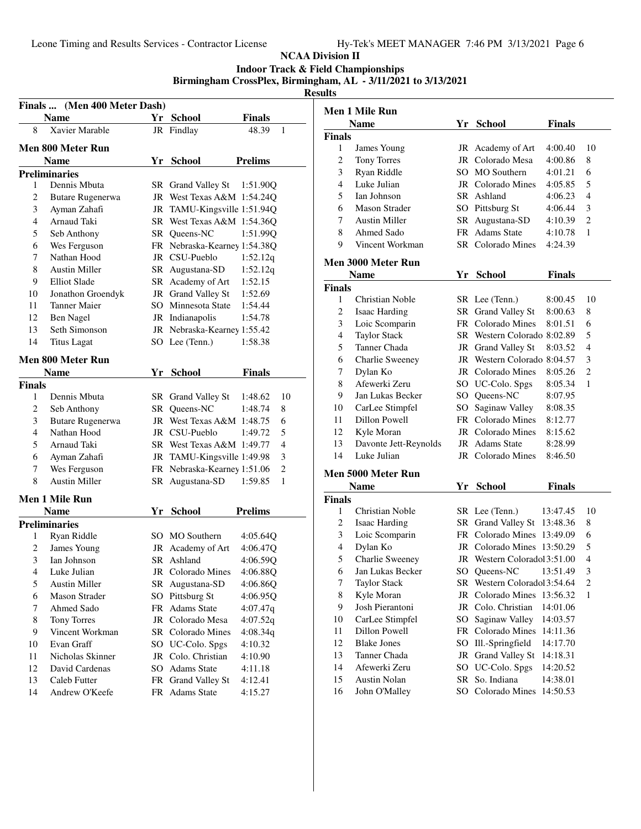#### **NCAA Division II Indoor Track & Field Championships**

### **Birmingham CrossPlex, Birmingham, AL - 3/11/2021 to 3/13/2021**

|                                                                                                                                                                                                                                                                                                                                                                                                                                                                                                                                                                                                                                                                                                                                                                                                                                                                                                                                                                                                                                                                                                                                                                                                                                                                                                                                                                                                                                                                                                                                                                                                                                                                                                                                                                                                                                                                                                                                                                                                                                                                                                                                                                                                                                                                                                                                                                                              | <b>Name</b>    |    |                    | Finals  |  |
|----------------------------------------------------------------------------------------------------------------------------------------------------------------------------------------------------------------------------------------------------------------------------------------------------------------------------------------------------------------------------------------------------------------------------------------------------------------------------------------------------------------------------------------------------------------------------------------------------------------------------------------------------------------------------------------------------------------------------------------------------------------------------------------------------------------------------------------------------------------------------------------------------------------------------------------------------------------------------------------------------------------------------------------------------------------------------------------------------------------------------------------------------------------------------------------------------------------------------------------------------------------------------------------------------------------------------------------------------------------------------------------------------------------------------------------------------------------------------------------------------------------------------------------------------------------------------------------------------------------------------------------------------------------------------------------------------------------------------------------------------------------------------------------------------------------------------------------------------------------------------------------------------------------------------------------------------------------------------------------------------------------------------------------------------------------------------------------------------------------------------------------------------------------------------------------------------------------------------------------------------------------------------------------------------------------------------------------------------------------------------------------------|----------------|----|--------------------|---------|--|
| Finals  (Men 400 Meter Dash)<br><b>School</b><br>Yr -<br>Xavier Marable<br>8<br>48.39<br>JR Findlay<br>1<br>Men 800 Meter Run<br><b>Prelims</b><br><b>Name</b><br>Yr School<br><b>Preliminaries</b><br>Dennis Mbuta<br>1<br>SR Grand Valley St<br>1:51.90Q<br>JR West Texas A&M 1:54.24Q<br>2<br>Butare Rugenerwa<br>3<br>JR TAMU-Kingsville 1:51.94Q<br>Ayman Zahafi<br>Arnaud Taki<br>4<br>SR West Texas A&M 1:54.36Q<br>5<br>Seb Anthony<br>SR Oueens-NC<br>1:51.99Q<br>6<br>FR Nebraska-Kearney 1:54.38Q<br>Wes Ferguson<br>Nathan Hood<br>7<br>JR CSU-Pueblo<br>1:52.12q<br>8<br><b>Austin Miller</b><br>SR Augustana-SD<br>1:52.12q<br>9<br><b>Elliot Slade</b><br>SR Academy of Art<br>1:52.15<br>JR Grand Valley St<br>10<br>Jonathon Groendyk<br>1:52.69<br>11<br><b>Tanner Maier</b><br>SO Minnesota State<br>1:54.44<br>12<br>Ben Nagel<br>JR Indianapolis<br>1:54.78<br>13<br>Seth Simonson<br>JR Nebraska-Kearney 1:55.42<br>14<br><b>Titus Lagat</b><br>SO Lee (Tenn.)<br>1:58.38<br>Men 800 Meter Run<br><b>Name</b><br>Yr<br><b>School</b><br><b>Finals</b><br>Finals<br>1<br>Dennis Mbuta<br>SR Grand Valley St<br>1:48.62<br>10<br>2<br>SR Queens-NC<br>Seb Anthony<br>1:48.74<br>8<br>3<br><b>Butare Rugenerwa</b><br>JR West Texas A&M 1:48.75<br>6<br>4<br>Nathan Hood<br>JR CSU-Pueblo<br>5<br>1:49.72<br>5<br>Arnaud Taki<br>SR West Texas A&M 1:49.77<br>4<br>6<br>Ayman Zahafi<br>JR TAMU-Kingsville 1:49.98<br>3<br>Wes Ferguson<br>FR Nebraska-Kearney 1:51.06<br>$\overline{c}$<br>7<br><b>Austin Miller</b><br>8<br>SR<br>Augustana-SD<br>1:59.85<br>1<br>Men 1 Mile Run<br>Yr School<br><b>Prelims</b><br><b>Name</b><br><b>Preliminaries</b><br>1<br>Ryan Riddle<br>SO MO Southern<br>4:05.64Q<br>JR Academy of Art<br>2<br>James Young<br>4:06.47Q<br>3<br>Ian Johnson<br>SR Ashland<br>4:06.59Q<br>$\overline{4}$<br>JR Colorado Mines<br>4:06.88Q<br>Luke Julian<br>5<br><b>Austin Miller</b><br>SR Augustana-SD<br>4:06.86Q<br>Pittsburg St<br>6<br>SO<br><b>Mason Strader</b><br>4:06.95Q<br>7<br>Ahmed Sado<br>Adams State<br>FR<br>4:07.47q<br>JR Colorado Mesa<br>8<br><b>Tony Torres</b><br>4:07.52q<br>9<br>Vincent Workman<br>SR Colorado Mines<br>4:08.34q<br>Evan Graff<br>SO UC-Colo. Spgs<br>10<br>4:10.32<br>Nicholas Skinner<br>Colo. Christian<br>11<br>JR<br>4:10.90<br>David Cardenas<br>SO <sub>1</sub><br><b>Adams State</b><br>4:11.18 |                |    |                    |         |  |
|                                                                                                                                                                                                                                                                                                                                                                                                                                                                                                                                                                                                                                                                                                                                                                                                                                                                                                                                                                                                                                                                                                                                                                                                                                                                                                                                                                                                                                                                                                                                                                                                                                                                                                                                                                                                                                                                                                                                                                                                                                                                                                                                                                                                                                                                                                                                                                                              |                |    |                    |         |  |
|                                                                                                                                                                                                                                                                                                                                                                                                                                                                                                                                                                                                                                                                                                                                                                                                                                                                                                                                                                                                                                                                                                                                                                                                                                                                                                                                                                                                                                                                                                                                                                                                                                                                                                                                                                                                                                                                                                                                                                                                                                                                                                                                                                                                                                                                                                                                                                                              |                |    |                    |         |  |
|                                                                                                                                                                                                                                                                                                                                                                                                                                                                                                                                                                                                                                                                                                                                                                                                                                                                                                                                                                                                                                                                                                                                                                                                                                                                                                                                                                                                                                                                                                                                                                                                                                                                                                                                                                                                                                                                                                                                                                                                                                                                                                                                                                                                                                                                                                                                                                                              |                |    |                    |         |  |
|                                                                                                                                                                                                                                                                                                                                                                                                                                                                                                                                                                                                                                                                                                                                                                                                                                                                                                                                                                                                                                                                                                                                                                                                                                                                                                                                                                                                                                                                                                                                                                                                                                                                                                                                                                                                                                                                                                                                                                                                                                                                                                                                                                                                                                                                                                                                                                                              |                |    |                    |         |  |
|                                                                                                                                                                                                                                                                                                                                                                                                                                                                                                                                                                                                                                                                                                                                                                                                                                                                                                                                                                                                                                                                                                                                                                                                                                                                                                                                                                                                                                                                                                                                                                                                                                                                                                                                                                                                                                                                                                                                                                                                                                                                                                                                                                                                                                                                                                                                                                                              |                |    |                    |         |  |
|                                                                                                                                                                                                                                                                                                                                                                                                                                                                                                                                                                                                                                                                                                                                                                                                                                                                                                                                                                                                                                                                                                                                                                                                                                                                                                                                                                                                                                                                                                                                                                                                                                                                                                                                                                                                                                                                                                                                                                                                                                                                                                                                                                                                                                                                                                                                                                                              |                |    |                    |         |  |
|                                                                                                                                                                                                                                                                                                                                                                                                                                                                                                                                                                                                                                                                                                                                                                                                                                                                                                                                                                                                                                                                                                                                                                                                                                                                                                                                                                                                                                                                                                                                                                                                                                                                                                                                                                                                                                                                                                                                                                                                                                                                                                                                                                                                                                                                                                                                                                                              |                |    |                    |         |  |
|                                                                                                                                                                                                                                                                                                                                                                                                                                                                                                                                                                                                                                                                                                                                                                                                                                                                                                                                                                                                                                                                                                                                                                                                                                                                                                                                                                                                                                                                                                                                                                                                                                                                                                                                                                                                                                                                                                                                                                                                                                                                                                                                                                                                                                                                                                                                                                                              |                |    |                    |         |  |
|                                                                                                                                                                                                                                                                                                                                                                                                                                                                                                                                                                                                                                                                                                                                                                                                                                                                                                                                                                                                                                                                                                                                                                                                                                                                                                                                                                                                                                                                                                                                                                                                                                                                                                                                                                                                                                                                                                                                                                                                                                                                                                                                                                                                                                                                                                                                                                                              |                |    |                    |         |  |
|                                                                                                                                                                                                                                                                                                                                                                                                                                                                                                                                                                                                                                                                                                                                                                                                                                                                                                                                                                                                                                                                                                                                                                                                                                                                                                                                                                                                                                                                                                                                                                                                                                                                                                                                                                                                                                                                                                                                                                                                                                                                                                                                                                                                                                                                                                                                                                                              |                |    |                    |         |  |
|                                                                                                                                                                                                                                                                                                                                                                                                                                                                                                                                                                                                                                                                                                                                                                                                                                                                                                                                                                                                                                                                                                                                                                                                                                                                                                                                                                                                                                                                                                                                                                                                                                                                                                                                                                                                                                                                                                                                                                                                                                                                                                                                                                                                                                                                                                                                                                                              |                |    |                    |         |  |
|                                                                                                                                                                                                                                                                                                                                                                                                                                                                                                                                                                                                                                                                                                                                                                                                                                                                                                                                                                                                                                                                                                                                                                                                                                                                                                                                                                                                                                                                                                                                                                                                                                                                                                                                                                                                                                                                                                                                                                                                                                                                                                                                                                                                                                                                                                                                                                                              |                |    |                    |         |  |
|                                                                                                                                                                                                                                                                                                                                                                                                                                                                                                                                                                                                                                                                                                                                                                                                                                                                                                                                                                                                                                                                                                                                                                                                                                                                                                                                                                                                                                                                                                                                                                                                                                                                                                                                                                                                                                                                                                                                                                                                                                                                                                                                                                                                                                                                                                                                                                                              |                |    |                    |         |  |
|                                                                                                                                                                                                                                                                                                                                                                                                                                                                                                                                                                                                                                                                                                                                                                                                                                                                                                                                                                                                                                                                                                                                                                                                                                                                                                                                                                                                                                                                                                                                                                                                                                                                                                                                                                                                                                                                                                                                                                                                                                                                                                                                                                                                                                                                                                                                                                                              |                |    |                    |         |  |
|                                                                                                                                                                                                                                                                                                                                                                                                                                                                                                                                                                                                                                                                                                                                                                                                                                                                                                                                                                                                                                                                                                                                                                                                                                                                                                                                                                                                                                                                                                                                                                                                                                                                                                                                                                                                                                                                                                                                                                                                                                                                                                                                                                                                                                                                                                                                                                                              |                |    |                    |         |  |
|                                                                                                                                                                                                                                                                                                                                                                                                                                                                                                                                                                                                                                                                                                                                                                                                                                                                                                                                                                                                                                                                                                                                                                                                                                                                                                                                                                                                                                                                                                                                                                                                                                                                                                                                                                                                                                                                                                                                                                                                                                                                                                                                                                                                                                                                                                                                                                                              |                |    |                    |         |  |
|                                                                                                                                                                                                                                                                                                                                                                                                                                                                                                                                                                                                                                                                                                                                                                                                                                                                                                                                                                                                                                                                                                                                                                                                                                                                                                                                                                                                                                                                                                                                                                                                                                                                                                                                                                                                                                                                                                                                                                                                                                                                                                                                                                                                                                                                                                                                                                                              |                |    |                    |         |  |
|                                                                                                                                                                                                                                                                                                                                                                                                                                                                                                                                                                                                                                                                                                                                                                                                                                                                                                                                                                                                                                                                                                                                                                                                                                                                                                                                                                                                                                                                                                                                                                                                                                                                                                                                                                                                                                                                                                                                                                                                                                                                                                                                                                                                                                                                                                                                                                                              |                |    |                    |         |  |
|                                                                                                                                                                                                                                                                                                                                                                                                                                                                                                                                                                                                                                                                                                                                                                                                                                                                                                                                                                                                                                                                                                                                                                                                                                                                                                                                                                                                                                                                                                                                                                                                                                                                                                                                                                                                                                                                                                                                                                                                                                                                                                                                                                                                                                                                                                                                                                                              |                |    |                    |         |  |
|                                                                                                                                                                                                                                                                                                                                                                                                                                                                                                                                                                                                                                                                                                                                                                                                                                                                                                                                                                                                                                                                                                                                                                                                                                                                                                                                                                                                                                                                                                                                                                                                                                                                                                                                                                                                                                                                                                                                                                                                                                                                                                                                                                                                                                                                                                                                                                                              |                |    |                    |         |  |
|                                                                                                                                                                                                                                                                                                                                                                                                                                                                                                                                                                                                                                                                                                                                                                                                                                                                                                                                                                                                                                                                                                                                                                                                                                                                                                                                                                                                                                                                                                                                                                                                                                                                                                                                                                                                                                                                                                                                                                                                                                                                                                                                                                                                                                                                                                                                                                                              |                |    |                    |         |  |
|                                                                                                                                                                                                                                                                                                                                                                                                                                                                                                                                                                                                                                                                                                                                                                                                                                                                                                                                                                                                                                                                                                                                                                                                                                                                                                                                                                                                                                                                                                                                                                                                                                                                                                                                                                                                                                                                                                                                                                                                                                                                                                                                                                                                                                                                                                                                                                                              |                |    |                    |         |  |
|                                                                                                                                                                                                                                                                                                                                                                                                                                                                                                                                                                                                                                                                                                                                                                                                                                                                                                                                                                                                                                                                                                                                                                                                                                                                                                                                                                                                                                                                                                                                                                                                                                                                                                                                                                                                                                                                                                                                                                                                                                                                                                                                                                                                                                                                                                                                                                                              |                |    |                    |         |  |
|                                                                                                                                                                                                                                                                                                                                                                                                                                                                                                                                                                                                                                                                                                                                                                                                                                                                                                                                                                                                                                                                                                                                                                                                                                                                                                                                                                                                                                                                                                                                                                                                                                                                                                                                                                                                                                                                                                                                                                                                                                                                                                                                                                                                                                                                                                                                                                                              |                |    |                    |         |  |
|                                                                                                                                                                                                                                                                                                                                                                                                                                                                                                                                                                                                                                                                                                                                                                                                                                                                                                                                                                                                                                                                                                                                                                                                                                                                                                                                                                                                                                                                                                                                                                                                                                                                                                                                                                                                                                                                                                                                                                                                                                                                                                                                                                                                                                                                                                                                                                                              |                |    |                    |         |  |
|                                                                                                                                                                                                                                                                                                                                                                                                                                                                                                                                                                                                                                                                                                                                                                                                                                                                                                                                                                                                                                                                                                                                                                                                                                                                                                                                                                                                                                                                                                                                                                                                                                                                                                                                                                                                                                                                                                                                                                                                                                                                                                                                                                                                                                                                                                                                                                                              |                |    |                    |         |  |
|                                                                                                                                                                                                                                                                                                                                                                                                                                                                                                                                                                                                                                                                                                                                                                                                                                                                                                                                                                                                                                                                                                                                                                                                                                                                                                                                                                                                                                                                                                                                                                                                                                                                                                                                                                                                                                                                                                                                                                                                                                                                                                                                                                                                                                                                                                                                                                                              |                |    |                    |         |  |
|                                                                                                                                                                                                                                                                                                                                                                                                                                                                                                                                                                                                                                                                                                                                                                                                                                                                                                                                                                                                                                                                                                                                                                                                                                                                                                                                                                                                                                                                                                                                                                                                                                                                                                                                                                                                                                                                                                                                                                                                                                                                                                                                                                                                                                                                                                                                                                                              |                |    |                    |         |  |
|                                                                                                                                                                                                                                                                                                                                                                                                                                                                                                                                                                                                                                                                                                                                                                                                                                                                                                                                                                                                                                                                                                                                                                                                                                                                                                                                                                                                                                                                                                                                                                                                                                                                                                                                                                                                                                                                                                                                                                                                                                                                                                                                                                                                                                                                                                                                                                                              |                |    |                    |         |  |
|                                                                                                                                                                                                                                                                                                                                                                                                                                                                                                                                                                                                                                                                                                                                                                                                                                                                                                                                                                                                                                                                                                                                                                                                                                                                                                                                                                                                                                                                                                                                                                                                                                                                                                                                                                                                                                                                                                                                                                                                                                                                                                                                                                                                                                                                                                                                                                                              |                |    |                    |         |  |
|                                                                                                                                                                                                                                                                                                                                                                                                                                                                                                                                                                                                                                                                                                                                                                                                                                                                                                                                                                                                                                                                                                                                                                                                                                                                                                                                                                                                                                                                                                                                                                                                                                                                                                                                                                                                                                                                                                                                                                                                                                                                                                                                                                                                                                                                                                                                                                                              |                |    |                    |         |  |
|                                                                                                                                                                                                                                                                                                                                                                                                                                                                                                                                                                                                                                                                                                                                                                                                                                                                                                                                                                                                                                                                                                                                                                                                                                                                                                                                                                                                                                                                                                                                                                                                                                                                                                                                                                                                                                                                                                                                                                                                                                                                                                                                                                                                                                                                                                                                                                                              |                |    |                    |         |  |
|                                                                                                                                                                                                                                                                                                                                                                                                                                                                                                                                                                                                                                                                                                                                                                                                                                                                                                                                                                                                                                                                                                                                                                                                                                                                                                                                                                                                                                                                                                                                                                                                                                                                                                                                                                                                                                                                                                                                                                                                                                                                                                                                                                                                                                                                                                                                                                                              |                |    |                    |         |  |
| 12<br>13<br>Caleb Futter<br>FR<br><b>Grand Valley St</b><br>4:12.41                                                                                                                                                                                                                                                                                                                                                                                                                                                                                                                                                                                                                                                                                                                                                                                                                                                                                                                                                                                                                                                                                                                                                                                                                                                                                                                                                                                                                                                                                                                                                                                                                                                                                                                                                                                                                                                                                                                                                                                                                                                                                                                                                                                                                                                                                                                          |                |    |                    |         |  |
|                                                                                                                                                                                                                                                                                                                                                                                                                                                                                                                                                                                                                                                                                                                                                                                                                                                                                                                                                                                                                                                                                                                                                                                                                                                                                                                                                                                                                                                                                                                                                                                                                                                                                                                                                                                                                                                                                                                                                                                                                                                                                                                                                                                                                                                                                                                                                                                              |                |    |                    |         |  |
|                                                                                                                                                                                                                                                                                                                                                                                                                                                                                                                                                                                                                                                                                                                                                                                                                                                                                                                                                                                                                                                                                                                                                                                                                                                                                                                                                                                                                                                                                                                                                                                                                                                                                                                                                                                                                                                                                                                                                                                                                                                                                                                                                                                                                                                                                                                                                                                              |                |    |                    |         |  |
|                                                                                                                                                                                                                                                                                                                                                                                                                                                                                                                                                                                                                                                                                                                                                                                                                                                                                                                                                                                                                                                                                                                                                                                                                                                                                                                                                                                                                                                                                                                                                                                                                                                                                                                                                                                                                                                                                                                                                                                                                                                                                                                                                                                                                                                                                                                                                                                              |                |    |                    |         |  |
|                                                                                                                                                                                                                                                                                                                                                                                                                                                                                                                                                                                                                                                                                                                                                                                                                                                                                                                                                                                                                                                                                                                                                                                                                                                                                                                                                                                                                                                                                                                                                                                                                                                                                                                                                                                                                                                                                                                                                                                                                                                                                                                                                                                                                                                                                                                                                                                              |                |    |                    |         |  |
|                                                                                                                                                                                                                                                                                                                                                                                                                                                                                                                                                                                                                                                                                                                                                                                                                                                                                                                                                                                                                                                                                                                                                                                                                                                                                                                                                                                                                                                                                                                                                                                                                                                                                                                                                                                                                                                                                                                                                                                                                                                                                                                                                                                                                                                                                                                                                                                              |                |    |                    |         |  |
|                                                                                                                                                                                                                                                                                                                                                                                                                                                                                                                                                                                                                                                                                                                                                                                                                                                                                                                                                                                                                                                                                                                                                                                                                                                                                                                                                                                                                                                                                                                                                                                                                                                                                                                                                                                                                                                                                                                                                                                                                                                                                                                                                                                                                                                                                                                                                                                              |                |    |                    |         |  |
|                                                                                                                                                                                                                                                                                                                                                                                                                                                                                                                                                                                                                                                                                                                                                                                                                                                                                                                                                                                                                                                                                                                                                                                                                                                                                                                                                                                                                                                                                                                                                                                                                                                                                                                                                                                                                                                                                                                                                                                                                                                                                                                                                                                                                                                                                                                                                                                              |                |    |                    |         |  |
|                                                                                                                                                                                                                                                                                                                                                                                                                                                                                                                                                                                                                                                                                                                                                                                                                                                                                                                                                                                                                                                                                                                                                                                                                                                                                                                                                                                                                                                                                                                                                                                                                                                                                                                                                                                                                                                                                                                                                                                                                                                                                                                                                                                                                                                                                                                                                                                              |                |    |                    |         |  |
|                                                                                                                                                                                                                                                                                                                                                                                                                                                                                                                                                                                                                                                                                                                                                                                                                                                                                                                                                                                                                                                                                                                                                                                                                                                                                                                                                                                                                                                                                                                                                                                                                                                                                                                                                                                                                                                                                                                                                                                                                                                                                                                                                                                                                                                                                                                                                                                              |                |    |                    |         |  |
|                                                                                                                                                                                                                                                                                                                                                                                                                                                                                                                                                                                                                                                                                                                                                                                                                                                                                                                                                                                                                                                                                                                                                                                                                                                                                                                                                                                                                                                                                                                                                                                                                                                                                                                                                                                                                                                                                                                                                                                                                                                                                                                                                                                                                                                                                                                                                                                              |                |    |                    |         |  |
|                                                                                                                                                                                                                                                                                                                                                                                                                                                                                                                                                                                                                                                                                                                                                                                                                                                                                                                                                                                                                                                                                                                                                                                                                                                                                                                                                                                                                                                                                                                                                                                                                                                                                                                                                                                                                                                                                                                                                                                                                                                                                                                                                                                                                                                                                                                                                                                              |                |    |                    |         |  |
|                                                                                                                                                                                                                                                                                                                                                                                                                                                                                                                                                                                                                                                                                                                                                                                                                                                                                                                                                                                                                                                                                                                                                                                                                                                                                                                                                                                                                                                                                                                                                                                                                                                                                                                                                                                                                                                                                                                                                                                                                                                                                                                                                                                                                                                                                                                                                                                              |                |    |                    |         |  |
| 14                                                                                                                                                                                                                                                                                                                                                                                                                                                                                                                                                                                                                                                                                                                                                                                                                                                                                                                                                                                                                                                                                                                                                                                                                                                                                                                                                                                                                                                                                                                                                                                                                                                                                                                                                                                                                                                                                                                                                                                                                                                                                                                                                                                                                                                                                                                                                                                           | Andrew O'Keefe | FR | <b>Adams State</b> | 4:15.27 |  |

|               | Men 1 Mile Run            |           |                              |               |                |
|---------------|---------------------------|-----------|------------------------------|---------------|----------------|
|               | <b>Name</b>               |           | Yr School                    | <b>Finals</b> |                |
| <b>Finals</b> |                           |           |                              |               |                |
| 1             | James Young               |           | JR Academy of Art            | 4:00.40       | 10             |
| 2             | <b>Tony Torres</b>        |           | JR Colorado Mesa             | 4:00.86       | 8              |
| 3             | Ryan Riddle               |           | SO MO Southern               | 4:01.21       | 6              |
| 4             | Luke Julian               |           | JR Colorado Mines            | 4:05.85       | 5              |
| 5             | Ian Johnson               |           | SR Ashland                   | 4:06.23       | 4              |
| 6             | Mason Strader             |           | SO Pittsburg St              | 4:06.44       | 3              |
| 7             | <b>Austin Miller</b>      |           | SR Augustana-SD              | 4:10.39       | 2              |
| 8             | Ahmed Sado                | FR        | <b>Adams State</b>           | 4:10.78       | 1              |
| 9             | Vincent Workman           |           | <b>SR</b> Colorado Mines     | 4:24.39       |                |
|               | Men 3000 Meter Run        |           |                              |               |                |
|               | <b>Name</b>               |           | Yr School                    | <b>Finals</b> |                |
| <b>Finals</b> |                           |           |                              |               |                |
| 1             | Christian Noble           |           | SR Lee (Tenn.)               | 8:00.45       | 10             |
| 2             | <b>Isaac Harding</b>      |           | SR Grand Valley St           | 8:00.63       | 8              |
| 3             | Loic Scomparin            |           | FR Colorado Mines            | 8:01.51       | 6              |
| 4             | <b>Taylor Stack</b>       |           | SR Western Colorado 8:02.89  |               | 5              |
| 5             | Tanner Chada              |           | JR Grand Valley St           | 8:03.52       | 4              |
| 6             | Charlie Sweeney           |           | JR Western Colorado 8:04.57  |               | 3              |
| 7             | Dylan Ko                  |           | JR Colorado Mines            | 8:05.26       | 2              |
| 8             | Afewerki Zeru             |           | SO UC-Colo. Spgs             | 8:05.34       | $\mathbf{1}$   |
| 9             | Jan Lukas Becker          |           | SO Queens-NC                 | 8:07.95       |                |
| 10            | CarLee Stimpfel           |           | SO Saginaw Valley            | 8:08.35       |                |
| 11            | Dillon Powell             |           | FR Colorado Mines            | 8:12.77       |                |
| 12            | Kyle Moran                |           | JR Colorado Mines            | 8:15.62       |                |
| 13            | Davonte Jett-Reynolds     |           | JR Adams State               | 8:28.99       |                |
| 14            | Luke Julian               |           | JR Colorado Mines            | 8:46.50       |                |
|               | <b>Men 5000 Meter Run</b> |           |                              |               |                |
|               | Name                      |           | Yr School                    | Finals        |                |
| Finals        |                           |           |                              |               |                |
| 1             | Christian Noble           |           | SR Lee (Tenn.)               | 13:47.45      | 10             |
| 2             | <b>Isaac Harding</b>      |           | SR Grand Valley St 13:48.36  |               | 8              |
| 3             | Loic Scomparin            |           | FR Colorado Mines 13:49.09   |               | 6              |
| 4             | Dylan Ko                  |           | JR Colorado Mines 13:50.29   |               | 5              |
| 5             | Charlie Sweeney           |           | JR Western Coloradol 3:51.00 |               | 4              |
| 6             | Jan Lukas Becker          |           | SO Queens-NC 13:51.49        |               | 3              |
| 7             | <b>Taylor Stack</b>       |           | SR Western Coloradol 3:54.64 |               | $\overline{c}$ |
| 8             | Kyle Moran                | JR        | Colorado Mines               | 13:56.32      | 1              |
| 9             | Josh Pierantoni           |           | JR Colo. Christian           | 14:01.06      |                |
| 10            | CarLee Stimpfel           | SO        | Saginaw Valley               | 14:03.57      |                |
| 11            | Dillon Powell             | FR        | Colorado Mines               | 14:11.36      |                |
| 12            | <b>Blake Jones</b>        | SO        | Ill.-Springfield             | 14:17.70      |                |
| 13            | Tanner Chada              | JR        | <b>Grand Valley St</b>       | 14:18.31      |                |
| 14            | Afewerki Zeru             | SO        | UC-Colo. Spgs                | 14:20.52      |                |
| 15            | <b>Austin Nolan</b>       | <b>SR</b> | So. Indiana                  | 14:38.01      |                |
| 16            | John O'Malley             | SO        | Colorado Mines               | 14:50.53      |                |
|               |                           |           |                              |               |                |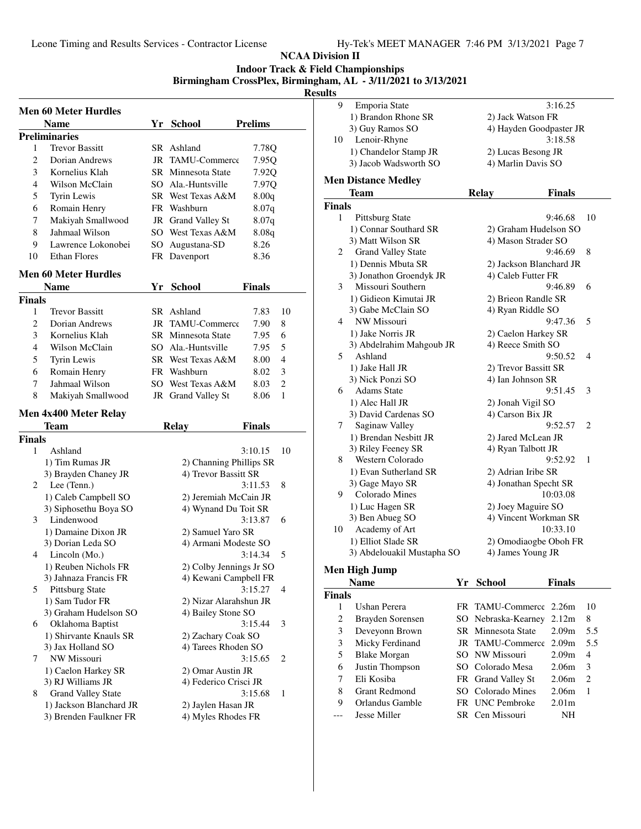**Indoor Track & Field Championships**

**Birmingham CrossPlex, Birmingham, AL - 3/11/2021 to 3/13/2021**

| Kesults |  |
|---------|--|
|         |  |

|        | <b>Men 60 Meter Hurdles</b>                   |    |                                                  |                |    |
|--------|-----------------------------------------------|----|--------------------------------------------------|----------------|----|
|        | <b>Name</b>                                   | Yr | <b>School</b>                                    | <b>Prelims</b> |    |
|        | <b>Preliminaries</b>                          |    |                                                  |                |    |
| 1      | <b>Trevor Bassitt</b>                         |    | SR Ashland                                       | 7.78Q          |    |
| 2      | Dorian Andrews                                |    | JR TAMU-Commerce                                 | 7.95Q          |    |
| 3      | Kornelius Klah                                |    | SR Minnesota State                               | 7.92Q          |    |
| 4      | Wilson McClain                                |    | SO Ala.-Huntsville                               | 7.97Q          |    |
| 5      | Tyrin Lewis                                   |    | SR West Texas A&M                                | 8.00q          |    |
| 6      | Romain Henry                                  |    | FR Washburn                                      | 8.07q          |    |
| 7      | Makiyah Smallwood                             |    | JR Grand Valley St                               | 8.07q          |    |
| 8      | Jahmaal Wilson                                |    | SO West Texas A&M                                | 8.08q          |    |
| 9      | Lawrence Lokonobei                            | SO | Augustana-SD                                     | 8.26           |    |
| 10     | <b>Ethan Flores</b>                           |    | FR Davenport                                     | 8.36           |    |
|        | Men 60 Meter Hurdles                          |    |                                                  |                |    |
|        | <b>Name</b>                                   | Yr | <b>School</b>                                    | <b>Finals</b>  |    |
| Finals |                                               |    |                                                  |                |    |
| 1      | <b>Trevor Bassitt</b>                         |    | SR Ashland                                       | 7.83           | 10 |
| 2      | Dorian Andrews                                |    | JR TAMU-Commerce                                 | 7.90           | 8  |
| 3      | Kornelius Klah                                |    | SR Minnesota State                               | 7.95           | 6  |
| 4      | Wilson McClain                                |    | SO Ala.-Huntsville                               | 7.95           | 5  |
| 5      | Tyrin Lewis                                   |    | SR West Texas A&M                                | 8.00           | 4  |
| 6      | Romain Henry                                  |    | FR Washburn                                      | 8.02           | 3  |
| 7      | Jahmaal Wilson                                |    | SO West Texas A&M                                | 8.03           | 2  |
| 8      | Makiyah Smallwood                             |    | JR Grand Valley St                               | 8.06           | 1  |
|        | Men 4x400 Meter Relay                         |    |                                                  |                |    |
|        | Team                                          |    | <b>Relay</b>                                     | Finals         |    |
| Finals |                                               |    |                                                  |                |    |
| 1      | Ashland                                       |    |                                                  | 3:10.15        | 10 |
|        | 1) Tim Rumas JR                               |    | 2) Channing Phillips SR                          |                |    |
|        | 3) Brayden Chaney JR                          |    | 4) Trevor Bassitt SR                             |                |    |
| 2      | Lee (Tenn.)                                   |    |                                                  | 3:11.53        | 8  |
|        | 1) Caleb Campbell SO                          |    | 2) Jeremiah McCain JR                            |                |    |
|        | 3) Siphosethu Boya SO                         |    | 4) Wynand Du Toit SR                             |                |    |
| 3      | Lindenwood                                    |    |                                                  | 3:13.87        | 6  |
|        | 1) Damaine Dixon JR                           |    | 2) Samuel Yaro SR                                |                |    |
| 4      | 3) Dorian Leda SO                             |    | 4) Armani Modeste SO                             | 3:14.34        |    |
|        | Lincoln (Mo.)                                 |    |                                                  |                | 5  |
|        | 1) Reuben Nichols FR<br>3) Jahnaza Francis FR |    | 2) Colby Jennings Jr SO<br>4) Kewani Campbell FR |                |    |
| 5      | Pittsburg State                               |    |                                                  | 3:15.27        | 4  |
|        | 1) Sam Tudor FR                               |    | 2) Nizar Alarahshun JR                           |                |    |
|        | 3) Graham Hudelson SO                         |    | 4) Bailey Stone SO                               |                |    |
| 6      | Oklahoma Baptist                              |    |                                                  | 3:15.44        | 3  |
|        | 1) Shirvante Knauls SR                        |    | 2) Zachary Coak SO                               |                |    |
|        | 3) Jax Holland SO                             |    | 4) Tarees Rhoden SO                              |                |    |
|        |                                               |    |                                                  | 3:15.65        | 2  |
| 7      | NW Missouri                                   |    |                                                  |                |    |
|        | 1) Caelon Harkey SR                           |    | 2) Omar Austin JR                                |                |    |
|        | 3) RJ Williams JR                             |    | 4) Federico Crisci JR                            |                |    |
| 8      | <b>Grand Valley State</b>                     |    |                                                  | 3:15.68        | 1  |
|        | 1) Jackson Blanchard JR                       |    | 2) Jaylen Hasan JR                               |                |    |
|        | 3) Brenden Faulkner FR                        |    | 4) Myles Rhodes FR                               |                |    |

| ults           |                            |     |                         |               |     |
|----------------|----------------------------|-----|-------------------------|---------------|-----|
| 9              | Emporia State              |     |                         | 3:16.25       |     |
|                | 1) Brandon Rhone SR        |     | 2) Jack Watson FR       |               |     |
|                | 3) Guy Ramos SO            |     | 4) Hayden Goodpaster JR |               |     |
| 10             | Lenoir-Rhyne               |     |                         | 3:18.58       |     |
|                | 1) Chandelor Stamp JR      |     | 2) Lucas Besong JR      |               |     |
|                | 3) Jacob Wadsworth SO      |     | 4) Marlin Davis SO      |               |     |
|                |                            |     |                         |               |     |
|                | <b>Men Distance Medley</b> |     |                         |               |     |
|                | Team                       |     | <b>Relay</b>            | <b>Finals</b> |     |
| <b>Finals</b>  |                            |     |                         |               |     |
| 1              | <b>Pittsburg State</b>     |     |                         | 9:46.68       | 10  |
|                | 1) Connar Southard SR      |     | 2) Graham Hudelson SO   |               |     |
|                | 3) Matt Wilson SR          |     | 4) Mason Strader SO     |               |     |
| 2              | <b>Grand Valley State</b>  |     |                         | 9:46.69       | 8   |
|                | 1) Dennis Mbuta SR         |     | 2) Jackson Blanchard JR |               |     |
|                | 3) Jonathon Groendyk JR    |     | 4) Caleb Futter FR      |               |     |
| 3              | Missouri Southern          |     |                         | 9:46.89       | 6   |
|                | 1) Gidieon Kimutai JR      |     | 2) Brieon Randle SR     |               |     |
|                | 3) Gabe McClain SO         |     | 4) Ryan Riddle SO       |               |     |
| 4              | NW Missouri                |     |                         | 9:47.36       | 5   |
|                | 1) Jake Norris JR          |     | 2) Caelon Harkey SR     |               |     |
|                | 3) Abdelrahim Mahgoub JR   |     | 4) Reece Smith SO       |               |     |
| 5              | Ashland                    |     |                         | 9:50.52       | 4   |
|                | 1) Jake Hall JR            |     | 2) Trevor Bassitt SR    |               |     |
|                | 3) Nick Ponzi SO           |     | 4) Ian Johnson SR       |               |     |
| 6              | <b>Adams State</b>         |     |                         | 9:51.45       | 3   |
|                | 1) Alec Hall JR            |     | 2) Jonah Vigil SO       |               |     |
|                | 3) David Cardenas SO       |     | 4) Carson Bix JR        |               |     |
| 7              | Saginaw Valley             |     |                         | 9:52.57       | 2   |
|                | 1) Brendan Nesbitt JR      |     | 2) Jared McLean JR      |               |     |
|                | 3) Riley Feeney SR         |     | 4) Ryan Talbott JR      |               |     |
| 8              | Western Colorado           |     |                         | 9:52.92       | 1   |
|                | 1) Evan Sutherland SR      |     | 2) Adrian Iribe SR      |               |     |
|                | 3) Gage Mayo SR            |     | 4) Jonathan Specht SR   |               |     |
| 9              | Colorado Mines             |     |                         | 10:03.08      |     |
|                | 1) Luc Hagen SR            |     | 2) Joey Maguire SO      |               |     |
|                | 3) Ben Abueg SO            |     | 4) Vincent Workman SR   |               |     |
| 10             | Academy of Art             |     |                         | 10:33.10      |     |
|                | 1) Elliot Slade SR         |     | 2) Omodiaogbe Oboh FR   |               |     |
|                | 3) Abdelouakil Mustapha SO |     | 4) James Young JR       |               |     |
|                | <b>Men High Jump</b>       |     |                         |               |     |
|                | <b>Name</b>                |     | Yr School               | <b>Finals</b> |     |
| <b>Finals</b>  |                            |     |                         |               |     |
| 1              | Ushan Perera               | FR  | TAMU-Commerce           | 2.26m         | 10  |
| $\overline{c}$ | Brayden Sorensen           | SO. | Nebraska-Kearney        | 2.12m         | 8   |
| 3              | Deveyonn Brown             |     | SR Minnesota State      | 2.09m         | 5.5 |
| 3              | Micky Ferdinand            |     | JR TAMU-Commerce        | 2.09m         | 5.5 |
|                |                            |     |                         |               |     |

|                | 5 Blake Morgan       | SO NW Missouri     | $2.09m + 4$       |  |
|----------------|----------------------|--------------------|-------------------|--|
|                | 6 Justin Thompson    | SO Colorado Mesa   | $2.06m - 3$       |  |
|                | 7 Eli Kosiba         | FR Grand Valley St | $2.06m - 2$       |  |
| 8 <sup>7</sup> | <b>Grant Redmond</b> | SO Colorado Mines  | $2.06m - 1$       |  |
| $\mathbf{Q}$   | Orlandus Gamble      | FR UNC Pembroke    | 2.01 <sub>m</sub> |  |

--- Jesse Miller SR Cen Missouri NH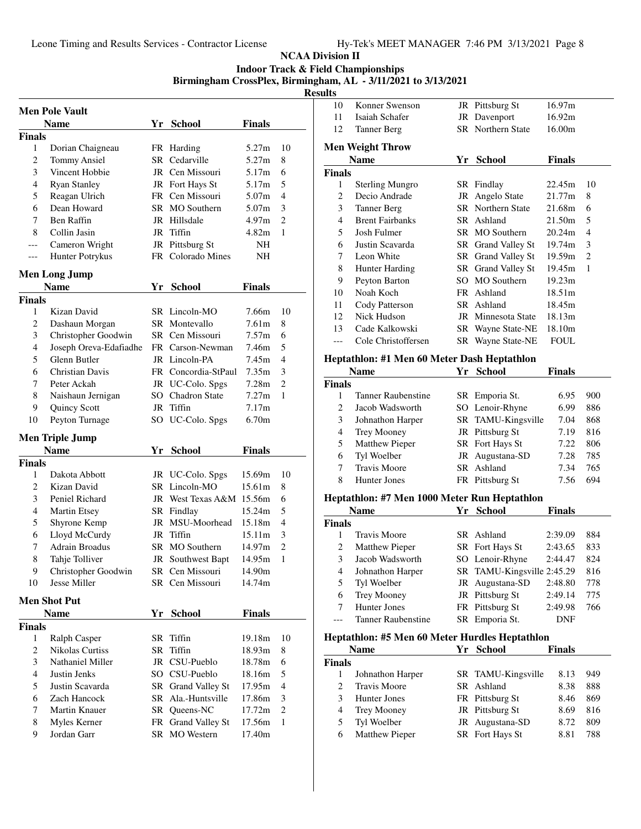**Indoor Track & Field Championships**

**Birmingham CrossPlex, Birmingham, AL - 3/11/2021 to 3/13/2021**

|                    | <b>Men Pole Vault</b>          |    |                          |               |                |
|--------------------|--------------------------------|----|--------------------------|---------------|----------------|
|                    | <b>Name</b>                    | Yr | <b>School</b>            | Finals        |                |
| <b>Finals</b>      |                                |    |                          |               |                |
| 1                  | Dorian Chaigneau               |    | FR Harding               | 5.27m         | 10             |
| 2                  | <b>Tommy Ansiel</b>            | SR | Cedarville               | 5.27m         | 8              |
| 3                  | Vincent Hobbie                 |    | JR Cen Missouri          | 5.17m         | 6              |
| 4                  | <b>Ryan Stanley</b>            |    | JR Fort Hays St          | 5.17m         | 5              |
| 5                  | Reagan Ulrich                  |    | FR Cen Missouri          | 5.07m         | 4              |
| 6                  | Dean Howard                    | SR | MO Southern              | 5.07m         | 3              |
| 7                  | Ben Raffin                     |    | JR Hillsdale             | 4.97m         | $\overline{c}$ |
| 8                  | Collin Jasin                   | JR | Tiffin                   | 4.82m         | 1              |
| ---                | Cameron Wright                 |    | JR Pittsburg St          | NH            |                |
| ---                | Hunter Potrykus                |    | FR Colorado Mines        | NΗ            |                |
|                    | <b>Men Long Jump</b>           |    |                          |               |                |
|                    | <b>Name</b>                    | Yr | <b>School</b>            | <b>Finals</b> |                |
| <b>Finals</b>      |                                |    |                          |               |                |
| 1                  | Kizan David                    |    | SR Lincoln-MO            | 7.66m         | 10             |
| 2                  | Dashaun Morgan                 |    | SR Montevallo            | 7.61m         | 8              |
| 3                  | Christopher Goodwin            |    | SR Cen Missouri          | 7.57m         | 6              |
| 4                  | Joseph Oreva-Edafiadhe         |    | FR Carson-Newman         | 7.46m         | 5              |
| 5                  | Glenn Butler                   |    | JR Lincoln-PA            | 7.45m         | 4              |
| 6                  | Christian Davis                |    | FR Concordia-StPaul      | 7.35m         | 3              |
| 7                  | Peter Ackah                    |    | JR UC-Colo. Spgs         | 7.28m         | $\overline{2}$ |
| 8                  | Naishaun Jernigan              |    | SO Chadron State         | 7.27m         | 1              |
| 9                  | Quincy Scott                   | JR | Tiffin                   | 7.17m         |                |
| 10                 | Peyton Turnage                 |    | SO UC-Colo. Spgs         | 6.70m         |                |
|                    |                                |    |                          |               |                |
|                    | <b>Men Triple Jump</b><br>Name | Yr |                          |               |                |
|                    |                                |    | <b>School</b>            | Finals        |                |
| <b>Finals</b><br>1 | Dakota Abbott                  |    | JR UC-Colo. Spgs         | 15.69m        | 10             |
| 2                  | Kizan David                    |    | SR Lincoln-MO            | 15.61m        | 8              |
| 3                  | Peniel Richard                 |    | JR West Texas A&M 15.56m |               | 6              |
| 4                  | Martin Etsey                   |    | SR Findlay               | 15.24m        | 5              |
| 5                  | Shyrone Kemp                   | JR | MSU-Moorhead             | 15.18m        | 4              |
| 6                  | Lloyd McCurdy                  | JR | Tiffin                   | 15.11m        | 3              |
| 7                  | <b>Adrain Broadus</b>          | SR | MO Southern              | 14.97m        | $\overline{2}$ |
| 8                  | Tahje Tolliver                 |    | JR Southwest Bapt        | 14.95m        | 1              |
| 9                  | Christopher Goodwin            |    | SR Cen Missouri          | 14.90m        |                |
| 10                 | Jesse Miller                   |    | SR Cen Missouri          | 14.74m        |                |
|                    |                                |    |                          |               |                |
|                    | <b>Men Shot Put</b>            |    |                          |               |                |
|                    | <b>Name</b>                    | Yr | <b>School</b>            | <b>Finals</b> |                |
| <b>Finals</b>      |                                |    |                          |               |                |
| 1                  | Ralph Casper                   | SR | Tiffin                   | 19.18m        | 10             |
| 2                  | Nikolas Curtiss                | SR | Tiffin                   | 18.93m        | 8              |
| 3                  | Nathaniel Miller               |    | JR CSU-Pueblo            | 18.78m        | 6              |
| 4                  | Justin Jenks                   |    | SO CSU-Pueblo            | 18.16m        | 5              |
| 5                  | Justin Scavarda                |    | SR Grand Valley St       | 17.95m        | 4              |
| 6                  | Zach Hancock                   |    | SR Ala.-Huntsville       | 17.86m        | 3              |
| 7                  | Martin Knauer                  |    | SR Queens-NC             | 17.72m        | $\overline{c}$ |
| 8                  | Myles Kerner                   | FR | <b>Grand Valley St</b>   | 17.56m        | 1              |
| 9                  | Jordan Garr                    |    | SR MO Western            | 17.40m        |                |
|                    |                                |    |                          |               |                |

|                                                                                                                                                                                                                                                                                                                                                                                                                                                                                                                                                                                                                                                                                                                                                                                                                                                                                                                                                                                                                                                                                                                                                                                                                                                                                                                                                     | Konner Swenson          |    |                    |                                                                                                                                                                                                                                                                                                                                |     |  |  |  |
|-----------------------------------------------------------------------------------------------------------------------------------------------------------------------------------------------------------------------------------------------------------------------------------------------------------------------------------------------------------------------------------------------------------------------------------------------------------------------------------------------------------------------------------------------------------------------------------------------------------------------------------------------------------------------------------------------------------------------------------------------------------------------------------------------------------------------------------------------------------------------------------------------------------------------------------------------------------------------------------------------------------------------------------------------------------------------------------------------------------------------------------------------------------------------------------------------------------------------------------------------------------------------------------------------------------------------------------------------------|-------------------------|----|--------------------|--------------------------------------------------------------------------------------------------------------------------------------------------------------------------------------------------------------------------------------------------------------------------------------------------------------------------------|-----|--|--|--|
| 10<br>11                                                                                                                                                                                                                                                                                                                                                                                                                                                                                                                                                                                                                                                                                                                                                                                                                                                                                                                                                                                                                                                                                                                                                                                                                                                                                                                                            | Isaiah Schafer          |    |                    |                                                                                                                                                                                                                                                                                                                                |     |  |  |  |
| 12                                                                                                                                                                                                                                                                                                                                                                                                                                                                                                                                                                                                                                                                                                                                                                                                                                                                                                                                                                                                                                                                                                                                                                                                                                                                                                                                                  |                         |    |                    |                                                                                                                                                                                                                                                                                                                                |     |  |  |  |
|                                                                                                                                                                                                                                                                                                                                                                                                                                                                                                                                                                                                                                                                                                                                                                                                                                                                                                                                                                                                                                                                                                                                                                                                                                                                                                                                                     | Tanner Berg             |    |                    |                                                                                                                                                                                                                                                                                                                                |     |  |  |  |
|                                                                                                                                                                                                                                                                                                                                                                                                                                                                                                                                                                                                                                                                                                                                                                                                                                                                                                                                                                                                                                                                                                                                                                                                                                                                                                                                                     | <b>Men Weight Throw</b> |    |                    |                                                                                                                                                                                                                                                                                                                                |     |  |  |  |
|                                                                                                                                                                                                                                                                                                                                                                                                                                                                                                                                                                                                                                                                                                                                                                                                                                                                                                                                                                                                                                                                                                                                                                                                                                                                                                                                                     | <b>Name</b>             |    | Yr School          | <b>Finals</b>                                                                                                                                                                                                                                                                                                                  |     |  |  |  |
| <b>Finals</b>                                                                                                                                                                                                                                                                                                                                                                                                                                                                                                                                                                                                                                                                                                                                                                                                                                                                                                                                                                                                                                                                                                                                                                                                                                                                                                                                       |                         |    |                    |                                                                                                                                                                                                                                                                                                                                |     |  |  |  |
| 1                                                                                                                                                                                                                                                                                                                                                                                                                                                                                                                                                                                                                                                                                                                                                                                                                                                                                                                                                                                                                                                                                                                                                                                                                                                                                                                                                   |                         |    |                    | 22.45m                                                                                                                                                                                                                                                                                                                         | 10  |  |  |  |
| $\overline{c}$                                                                                                                                                                                                                                                                                                                                                                                                                                                                                                                                                                                                                                                                                                                                                                                                                                                                                                                                                                                                                                                                                                                                                                                                                                                                                                                                      | Decio Andrade           |    |                    | 21.77m                                                                                                                                                                                                                                                                                                                         | 8   |  |  |  |
| 3                                                                                                                                                                                                                                                                                                                                                                                                                                                                                                                                                                                                                                                                                                                                                                                                                                                                                                                                                                                                                                                                                                                                                                                                                                                                                                                                                   |                         |    |                    | 21.68m                                                                                                                                                                                                                                                                                                                         | 6   |  |  |  |
| 4                                                                                                                                                                                                                                                                                                                                                                                                                                                                                                                                                                                                                                                                                                                                                                                                                                                                                                                                                                                                                                                                                                                                                                                                                                                                                                                                                   | <b>Brent Fairbanks</b>  |    |                    | 21.50m                                                                                                                                                                                                                                                                                                                         | 5   |  |  |  |
| 5                                                                                                                                                                                                                                                                                                                                                                                                                                                                                                                                                                                                                                                                                                                                                                                                                                                                                                                                                                                                                                                                                                                                                                                                                                                                                                                                                   | Josh Fulmer             |    |                    | 20.24m                                                                                                                                                                                                                                                                                                                         | 4   |  |  |  |
| 6                                                                                                                                                                                                                                                                                                                                                                                                                                                                                                                                                                                                                                                                                                                                                                                                                                                                                                                                                                                                                                                                                                                                                                                                                                                                                                                                                   | Justin Scavarda         |    |                    | 19.74m                                                                                                                                                                                                                                                                                                                         | 3   |  |  |  |
| 7                                                                                                                                                                                                                                                                                                                                                                                                                                                                                                                                                                                                                                                                                                                                                                                                                                                                                                                                                                                                                                                                                                                                                                                                                                                                                                                                                   | Leon White              |    |                    | 19.59m                                                                                                                                                                                                                                                                                                                         | 2   |  |  |  |
|                                                                                                                                                                                                                                                                                                                                                                                                                                                                                                                                                                                                                                                                                                                                                                                                                                                                                                                                                                                                                                                                                                                                                                                                                                                                                                                                                     |                         |    |                    | 19.45m                                                                                                                                                                                                                                                                                                                         | 1   |  |  |  |
| 9                                                                                                                                                                                                                                                                                                                                                                                                                                                                                                                                                                                                                                                                                                                                                                                                                                                                                                                                                                                                                                                                                                                                                                                                                                                                                                                                                   |                         |    |                    | 19.23m                                                                                                                                                                                                                                                                                                                         |     |  |  |  |
|                                                                                                                                                                                                                                                                                                                                                                                                                                                                                                                                                                                                                                                                                                                                                                                                                                                                                                                                                                                                                                                                                                                                                                                                                                                                                                                                                     | Noah Koch               |    |                    |                                                                                                                                                                                                                                                                                                                                |     |  |  |  |
| 11                                                                                                                                                                                                                                                                                                                                                                                                                                                                                                                                                                                                                                                                                                                                                                                                                                                                                                                                                                                                                                                                                                                                                                                                                                                                                                                                                  |                         |    |                    |                                                                                                                                                                                                                                                                                                                                |     |  |  |  |
|                                                                                                                                                                                                                                                                                                                                                                                                                                                                                                                                                                                                                                                                                                                                                                                                                                                                                                                                                                                                                                                                                                                                                                                                                                                                                                                                                     |                         |    |                    |                                                                                                                                                                                                                                                                                                                                |     |  |  |  |
| 13                                                                                                                                                                                                                                                                                                                                                                                                                                                                                                                                                                                                                                                                                                                                                                                                                                                                                                                                                                                                                                                                                                                                                                                                                                                                                                                                                  | Cade Kalkowski          |    |                    |                                                                                                                                                                                                                                                                                                                                |     |  |  |  |
| ---                                                                                                                                                                                                                                                                                                                                                                                                                                                                                                                                                                                                                                                                                                                                                                                                                                                                                                                                                                                                                                                                                                                                                                                                                                                                                                                                                 |                         |    |                    |                                                                                                                                                                                                                                                                                                                                |     |  |  |  |
|                                                                                                                                                                                                                                                                                                                                                                                                                                                                                                                                                                                                                                                                                                                                                                                                                                                                                                                                                                                                                                                                                                                                                                                                                                                                                                                                                     |                         |    |                    |                                                                                                                                                                                                                                                                                                                                |     |  |  |  |
|                                                                                                                                                                                                                                                                                                                                                                                                                                                                                                                                                                                                                                                                                                                                                                                                                                                                                                                                                                                                                                                                                                                                                                                                                                                                                                                                                     |                         |    |                    |                                                                                                                                                                                                                                                                                                                                |     |  |  |  |
|                                                                                                                                                                                                                                                                                                                                                                                                                                                                                                                                                                                                                                                                                                                                                                                                                                                                                                                                                                                                                                                                                                                                                                                                                                                                                                                                                     |                         |    |                    |                                                                                                                                                                                                                                                                                                                                |     |  |  |  |
|                                                                                                                                                                                                                                                                                                                                                                                                                                                                                                                                                                                                                                                                                                                                                                                                                                                                                                                                                                                                                                                                                                                                                                                                                                                                                                                                                     |                         |    |                    |                                                                                                                                                                                                                                                                                                                                |     |  |  |  |
| 1                                                                                                                                                                                                                                                                                                                                                                                                                                                                                                                                                                                                                                                                                                                                                                                                                                                                                                                                                                                                                                                                                                                                                                                                                                                                                                                                                   |                         |    |                    | 6.95                                                                                                                                                                                                                                                                                                                           | 900 |  |  |  |
|                                                                                                                                                                                                                                                                                                                                                                                                                                                                                                                                                                                                                                                                                                                                                                                                                                                                                                                                                                                                                                                                                                                                                                                                                                                                                                                                                     | Jacob Wadsworth         |    |                    | 6.99                                                                                                                                                                                                                                                                                                                           | 886 |  |  |  |
|                                                                                                                                                                                                                                                                                                                                                                                                                                                                                                                                                                                                                                                                                                                                                                                                                                                                                                                                                                                                                                                                                                                                                                                                                                                                                                                                                     |                         |    |                    | 7.04                                                                                                                                                                                                                                                                                                                           | 868 |  |  |  |
| 4                                                                                                                                                                                                                                                                                                                                                                                                                                                                                                                                                                                                                                                                                                                                                                                                                                                                                                                                                                                                                                                                                                                                                                                                                                                                                                                                                   | Trey Mooney             |    |                    | 7.19                                                                                                                                                                                                                                                                                                                           | 816 |  |  |  |
| 5                                                                                                                                                                                                                                                                                                                                                                                                                                                                                                                                                                                                                                                                                                                                                                                                                                                                                                                                                                                                                                                                                                                                                                                                                                                                                                                                                   |                         |    |                    | 7.22                                                                                                                                                                                                                                                                                                                           | 806 |  |  |  |
| 6                                                                                                                                                                                                                                                                                                                                                                                                                                                                                                                                                                                                                                                                                                                                                                                                                                                                                                                                                                                                                                                                                                                                                                                                                                                                                                                                                   | Tyl Woelber             | JR |                    | 7.28                                                                                                                                                                                                                                                                                                                           | 785 |  |  |  |
| 7                                                                                                                                                                                                                                                                                                                                                                                                                                                                                                                                                                                                                                                                                                                                                                                                                                                                                                                                                                                                                                                                                                                                                                                                                                                                                                                                                   | <b>Travis Moore</b>     | SR | Ashland            | 7.34                                                                                                                                                                                                                                                                                                                           | 765 |  |  |  |
| 8                                                                                                                                                                                                                                                                                                                                                                                                                                                                                                                                                                                                                                                                                                                                                                                                                                                                                                                                                                                                                                                                                                                                                                                                                                                                                                                                                   | Hunter Jones            |    |                    | 7.56                                                                                                                                                                                                                                                                                                                           | 694 |  |  |  |
|                                                                                                                                                                                                                                                                                                                                                                                                                                                                                                                                                                                                                                                                                                                                                                                                                                                                                                                                                                                                                                                                                                                                                                                                                                                                                                                                                     |                         |    |                    |                                                                                                                                                                                                                                                                                                                                |     |  |  |  |
|                                                                                                                                                                                                                                                                                                                                                                                                                                                                                                                                                                                                                                                                                                                                                                                                                                                                                                                                                                                                                                                                                                                                                                                                                                                                                                                                                     |                         |    |                    | JR Pittsburg St<br>16.97m<br>16.92m<br>JR Davenport<br><b>SR</b> Northern State<br>16.00m<br>18.51m<br>18.45m<br>18.13m<br>18.10m<br><b>FOUL</b><br>Finals<br><b>Finals</b><br>2:39.09<br>884<br>2:43.65<br>833<br>824<br>2:44.47<br>816<br>2:48.80<br>778<br>2:49.14<br>775<br>766<br>2:49.98<br>DNF<br>Finals<br>8.13<br>949 |     |  |  |  |
|                                                                                                                                                                                                                                                                                                                                                                                                                                                                                                                                                                                                                                                                                                                                                                                                                                                                                                                                                                                                                                                                                                                                                                                                                                                                                                                                                     |                         |    |                    |                                                                                                                                                                                                                                                                                                                                |     |  |  |  |
|                                                                                                                                                                                                                                                                                                                                                                                                                                                                                                                                                                                                                                                                                                                                                                                                                                                                                                                                                                                                                                                                                                                                                                                                                                                                                                                                                     |                         |    |                    |                                                                                                                                                                                                                                                                                                                                |     |  |  |  |
|                                                                                                                                                                                                                                                                                                                                                                                                                                                                                                                                                                                                                                                                                                                                                                                                                                                                                                                                                                                                                                                                                                                                                                                                                                                                                                                                                     |                         |    |                    |                                                                                                                                                                                                                                                                                                                                |     |  |  |  |
|                                                                                                                                                                                                                                                                                                                                                                                                                                                                                                                                                                                                                                                                                                                                                                                                                                                                                                                                                                                                                                                                                                                                                                                                                                                                                                                                                     |                         |    |                    |                                                                                                                                                                                                                                                                                                                                |     |  |  |  |
|                                                                                                                                                                                                                                                                                                                                                                                                                                                                                                                                                                                                                                                                                                                                                                                                                                                                                                                                                                                                                                                                                                                                                                                                                                                                                                                                                     |                         |    |                    |                                                                                                                                                                                                                                                                                                                                |     |  |  |  |
|                                                                                                                                                                                                                                                                                                                                                                                                                                                                                                                                                                                                                                                                                                                                                                                                                                                                                                                                                                                                                                                                                                                                                                                                                                                                                                                                                     |                         |    |                    |                                                                                                                                                                                                                                                                                                                                |     |  |  |  |
|                                                                                                                                                                                                                                                                                                                                                                                                                                                                                                                                                                                                                                                                                                                                                                                                                                                                                                                                                                                                                                                                                                                                                                                                                                                                                                                                                     |                         |    |                    |                                                                                                                                                                                                                                                                                                                                |     |  |  |  |
|                                                                                                                                                                                                                                                                                                                                                                                                                                                                                                                                                                                                                                                                                                                                                                                                                                                                                                                                                                                                                                                                                                                                                                                                                                                                                                                                                     |                         |    |                    |                                                                                                                                                                                                                                                                                                                                |     |  |  |  |
|                                                                                                                                                                                                                                                                                                                                                                                                                                                                                                                                                                                                                                                                                                                                                                                                                                                                                                                                                                                                                                                                                                                                                                                                                                                                                                                                                     |                         |    |                    |                                                                                                                                                                                                                                                                                                                                |     |  |  |  |
|                                                                                                                                                                                                                                                                                                                                                                                                                                                                                                                                                                                                                                                                                                                                                                                                                                                                                                                                                                                                                                                                                                                                                                                                                                                                                                                                                     |                         |    |                    |                                                                                                                                                                                                                                                                                                                                |     |  |  |  |
|                                                                                                                                                                                                                                                                                                                                                                                                                                                                                                                                                                                                                                                                                                                                                                                                                                                                                                                                                                                                                                                                                                                                                                                                                                                                                                                                                     |                         |    |                    |                                                                                                                                                                                                                                                                                                                                |     |  |  |  |
| <b>Sterling Mungro</b><br>SR Findlay<br>JR Angelo State<br><b>SR</b> Northern State<br><b>Tanner Berg</b><br>SR Ashland<br>SR MO Southern<br>SR Grand Valley St<br>SR Grand Valley St<br>SR Grand Valley St<br>8<br><b>Hunter Harding</b><br>SO MO Southern<br>Peyton Barton<br>FR Ashland<br>10<br>Cody Patterson<br>SR Ashland<br>12<br>Nick Hudson<br>JR Minnesota State<br>SR Wayne State-NE<br>Cole Christoffersen<br>SR Wayne State-NE<br>Heptathlon: #1 Men 60 Meter Dash Heptathlon<br><b>Name</b><br>Yr School<br><b>Finals</b><br><b>Tanner Raubenstine</b><br>SR Emporia St.<br>$\overline{c}$<br>Lenoir-Rhyne<br>SO<br>3<br>SR TAMU-Kingsville<br>Johnathon Harper<br>JR Pittsburg St<br><b>Matthew Pieper</b><br>SR Fort Hays St<br>Augustana-SD<br>FR Pittsburg St<br>Heptathlon: #7 Men 1000 Meter Run Heptathlon<br><b>School</b><br><b>Name</b><br>Yr<br><b>Finals</b><br>1<br><b>Travis Moore</b><br>SR Ashland<br>2<br><b>Matthew Pieper</b><br>SR Fort Hays St<br>3<br>SO Lenoir-Rhyne<br>Jacob Wadsworth<br>Johnathon Harper<br>SR TAMU-Kingsville 2:45.29<br>4<br>5<br>Tyl Woelber<br>Augustana-SD<br>JR<br>6<br>JR Pittsburg St<br>Trey Mooney<br>Hunter Jones<br>FR Pittsburg St<br>7<br><b>Tanner Raubenstine</b><br>SR Emporia St.<br>$---$<br>Heptathlon: #5 Men 60 Meter Hurdles Heptathlon<br>Yr School<br><b>Name</b> |                         |    |                    |                                                                                                                                                                                                                                                                                                                                |     |  |  |  |
| <b>Finals</b>                                                                                                                                                                                                                                                                                                                                                                                                                                                                                                                                                                                                                                                                                                                                                                                                                                                                                                                                                                                                                                                                                                                                                                                                                                                                                                                                       |                         |    |                    |                                                                                                                                                                                                                                                                                                                                |     |  |  |  |
| 1                                                                                                                                                                                                                                                                                                                                                                                                                                                                                                                                                                                                                                                                                                                                                                                                                                                                                                                                                                                                                                                                                                                                                                                                                                                                                                                                                   | Johnathon Harper        |    | SR TAMU-Kingsville |                                                                                                                                                                                                                                                                                                                                |     |  |  |  |
| 2                                                                                                                                                                                                                                                                                                                                                                                                                                                                                                                                                                                                                                                                                                                                                                                                                                                                                                                                                                                                                                                                                                                                                                                                                                                                                                                                                   | Travis Moore            |    | SR Ashland         | 8.38                                                                                                                                                                                                                                                                                                                           | 888 |  |  |  |

| 3 Hunter Jones   | FR Pittsburg St | 8.46 | 869 |
|------------------|-----------------|------|-----|
| 4 Trey Mooney    | JR Pittsburg St | 8.69 | 816 |
| 5 Tyl Woelber    | JR Augustana-SD | 8.72 | 809 |
| 6 Matthew Pieper | SR Fort Hays St | 8.81 | 788 |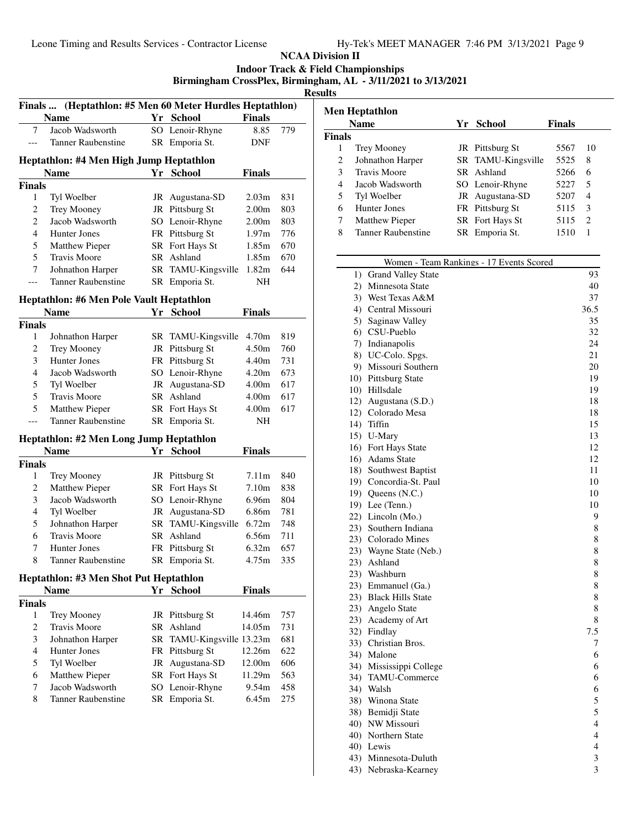### **NCAA Division II Indoor Track & Field Championships Birmingham CrossPlex, Birmingham, AL - 3/11/2021 to 3/13/2021**

|                            |                                              |    | Finals  (Heptathlon: #5 Men 60 Meter Hurdles Heptathlon) |                   |            |
|----------------------------|----------------------------------------------|----|----------------------------------------------------------|-------------------|------------|
|                            | <b>Name</b>                                  |    | Yr School                                                | <b>Finals</b>     |            |
| 7                          | Jacob Wadsworth                              |    | SO Lenoir-Rhyne                                          | 8.85              | 779        |
| $---$                      | <b>Tanner Raubenstine</b>                    |    | SR Emporia St.                                           | DNF               |            |
|                            | Heptathlon: #4 Men High Jump Heptathlon      |    |                                                          |                   |            |
|                            | <b>Name</b>                                  |    | Yr School                                                | <b>Finals</b>     |            |
| Finals                     |                                              |    |                                                          |                   |            |
| 1                          | Tyl Woelber                                  |    | JR Augustana-SD                                          | 2.03m             | 831        |
| 2                          | Trey Mooney                                  |    | JR Pittsburg St                                          | 2.00 <sub>m</sub> | 803        |
| $\overline{c}$             | Jacob Wadsworth                              |    | SO Lenoir-Rhyne                                          | 2.00 <sub>m</sub> | 803        |
| $\overline{4}$             | Hunter Jones                                 |    | FR Pittsburg St                                          | 1.97m             | 776        |
| 5                          | <b>Matthew Pieper</b>                        |    | SR Fort Hays St                                          | 1.85m             | 670        |
| 5                          | Travis Moore                                 |    | SR Ashland                                               | 1.85m             | 670        |
| 7                          | Johnathon Harper                             |    | SR TAMU-Kingsville                                       | 1.82m             | 644        |
| $\overline{a}$             | <b>Tanner Raubenstine</b>                    |    | SR Emporia St.                                           | NH                |            |
|                            | Heptathlon: #6 Men Pole Vault Heptathlon     |    |                                                          |                   |            |
|                            | <b>Name</b>                                  |    | Yr School                                                | <b>Finals</b>     |            |
| Finals                     |                                              |    |                                                          |                   |            |
| 1                          | Johnathon Harper                             |    | SR TAMU-Kingsville                                       | 4.70m             | 819        |
| 2                          | Trey Mooney                                  |    | JR Pittsburg St                                          | 4.50m             | 760        |
| 3                          | Hunter Jones                                 |    | FR Pittsburg St                                          | 4.40m             | 731        |
| $\overline{4}$             | Jacob Wadsworth                              |    | SO Lenoir-Rhyne                                          | 4.20m             | 673        |
| $\mathfrak s$              | Tyl Woelber                                  |    | JR Augustana-SD                                          | 4.00m             | 617        |
| 5                          | Travis Moore                                 |    | SR Ashland                                               | 4.00m             | 617        |
| 5                          | Matthew Pieper                               |    | SR Fort Hays St                                          | 4.00m             | 617        |
| $\overline{a}$             | Tanner Raubenstine                           |    | SR Emporia St.                                           | NH                |            |
|                            | Heptathlon: #2 Men Long Jump Heptathlon      |    |                                                          |                   |            |
|                            | <b>Name</b>                                  |    | Yr School                                                | Finals            |            |
|                            |                                              |    |                                                          |                   |            |
|                            |                                              |    |                                                          |                   |            |
| 1                          | Trey Mooney                                  |    | JR Pittsburg St                                          | 7.11m             | 840        |
| $\overline{c}$             | Matthew Pieper                               |    | SR Fort Hays St                                          | 7.10m             | 838        |
| 3                          | Jacob Wadsworth                              |    | SO Lenoir-Rhyne                                          | 6.96m             | 804        |
| $\overline{4}$             | Tyl Woelber                                  |    | JR Augustana-SD                                          | 6.86m             | 781        |
| 5                          | Johnathon Harper                             |    | SR TAMU-Kingsville                                       | 6.72m             | 748        |
| 6                          | <b>Travis Moore</b>                          |    | SR Ashland                                               | 6.56m             | 711        |
| 7                          | Hunter Jones                                 |    | FR Pittsburg St                                          | 6.32m             | 657        |
| 8                          | <b>Tanner Raubenstine</b>                    |    | SR Emporia St.                                           | 4.75m             | 335        |
|                            | Heptathlon: #3 Men Shot Put Heptathlon       |    |                                                          |                   |            |
|                            | <b>Name</b>                                  |    | Yr School                                                | <b>Finals</b>     |            |
|                            |                                              |    |                                                          |                   |            |
| 1                          | Trey Mooney                                  |    | JR Pittsburg St                                          | 14.46m            | 757        |
| $\mathbf{2}$               | <b>Travis Moore</b>                          |    | SR Ashland                                               | 14.05m            | 731        |
| 3                          | Johnathon Harper                             | SR | TAMU-Kingsville 13.23m                                   |                   | 681        |
| $\overline{4}$             | Hunter Jones                                 |    | FR Pittsburg St                                          | 12.26m            | 622        |
| 5                          | Tyl Woelber                                  |    | JR Augustana-SD                                          | 12.00m            | 606        |
| 6                          | Matthew Pieper                               |    | SR Fort Hays St                                          | 11.29m            | 563        |
| Finals<br>Finals<br>7<br>8 | Jacob Wadsworth<br><b>Tanner Raubenstine</b> |    | SO Lenoir-Rhyne<br>SR Emporia St.                        | 9.54m<br>6.45m    | 458<br>275 |

|        | <b>Name</b>         | Yr School          | <b>Finals</b> |                             |
|--------|---------------------|--------------------|---------------|-----------------------------|
| Finals |                     |                    |               |                             |
|        | Trey Mooney         | JR Pittsburg St    | 5567          | 10                          |
| 2      | Johnathon Harper    | SR TAMU-Kingsville | 5525          | 8                           |
| 3      | <b>Travis Moore</b> | SR Ashland         | 5266          | 6                           |
| 4      | Jacob Wadsworth     | SO Lenoir-Rhyne    | 5227          | 5                           |
| 5      | Tyl Woelber         | JR Augustana-SD    | 5207          | 4                           |
| 6      | Hunter Jones        | FR Pittsburg St    | 5115          | 3                           |
|        | Matthew Pieper      | SR Fort Hays St    | 5115          | $\mathcal{D}_{\mathcal{L}}$ |
| 8      | Tanner Raubenstine  | SR Emporia St.     | 1510          | 1                           |

|     | Women - Team Rankings - 17 Events Scored |                         |
|-----|------------------------------------------|-------------------------|
|     | 1) Grand Valley State                    | 93                      |
|     | 2) Minnesota State                       | 40                      |
|     | 3) West Texas A&M                        | 37                      |
|     | 4) Central Missouri                      | 36.5                    |
|     | 5) Saginaw Valley                        | 35                      |
|     | 6) CSU-Pueblo                            | 32                      |
|     | 7) Indianapolis                          | 24                      |
|     | 8) UC-Colo. Spgs.                        | 21                      |
|     | 9) Missouri Southern                     | 20                      |
|     | 10) Pittsburg State                      | 19                      |
|     | 10) Hillsdale                            | 19                      |
|     | 12) Augustana (S.D.)                     | 18                      |
|     | 12) Colorado Mesa                        | 18                      |
|     | 14) Tiffin                               | 15                      |
|     | 15) U-Mary                               | 13                      |
|     | 16) Fort Hays State                      | 12                      |
|     | 16) Adams State                          | 12                      |
|     | 18) Southwest Baptist                    | 11                      |
|     | 19) Concordia-St. Paul                   | 10                      |
|     | 19) Queens $(N.C.)$                      | 10                      |
|     | 19) Lee (Tenn.)                          | 10                      |
|     | 22) Lincoln (Mo.)                        | 9                       |
|     | 23) Southern Indiana                     | 8                       |
|     | 23) Colorado Mines                       | 8                       |
|     | 23) Wayne State (Neb.)                   | 8                       |
|     | 23) Ashland                              | 8                       |
|     | 23) Washburn                             | $\,8\,$                 |
|     | 23) Emmanuel (Ga.)                       | 8                       |
|     | 23) Black Hills State                    | 8                       |
|     | 23) Angelo State                         | 8                       |
|     | 23) Academy of Art                       | 8                       |
|     | 32) Findlay                              | 7.5                     |
|     | 33) Christian Bros.                      | 7                       |
|     | 34) Malone                               | 6                       |
|     | 34) Mississippi College                  | 6                       |
|     | 34) TAMU-Commerce                        | 6                       |
|     | 34) Walsh                                | 6                       |
| 38) | Winona State                             | 5                       |
|     | 38) Bemidji State                        | 5                       |
|     | 40) NW Missouri                          | $\overline{\mathbf{4}}$ |
|     | 40) Northern State                       | $\overline{\mathbf{4}}$ |
|     | 40) Lewis                                | $\overline{4}$          |
|     | 43) Minnesota-Duluth                     | 3                       |
| 43) | Nebraska-Kearney                         | $\overline{\mathbf{3}}$ |